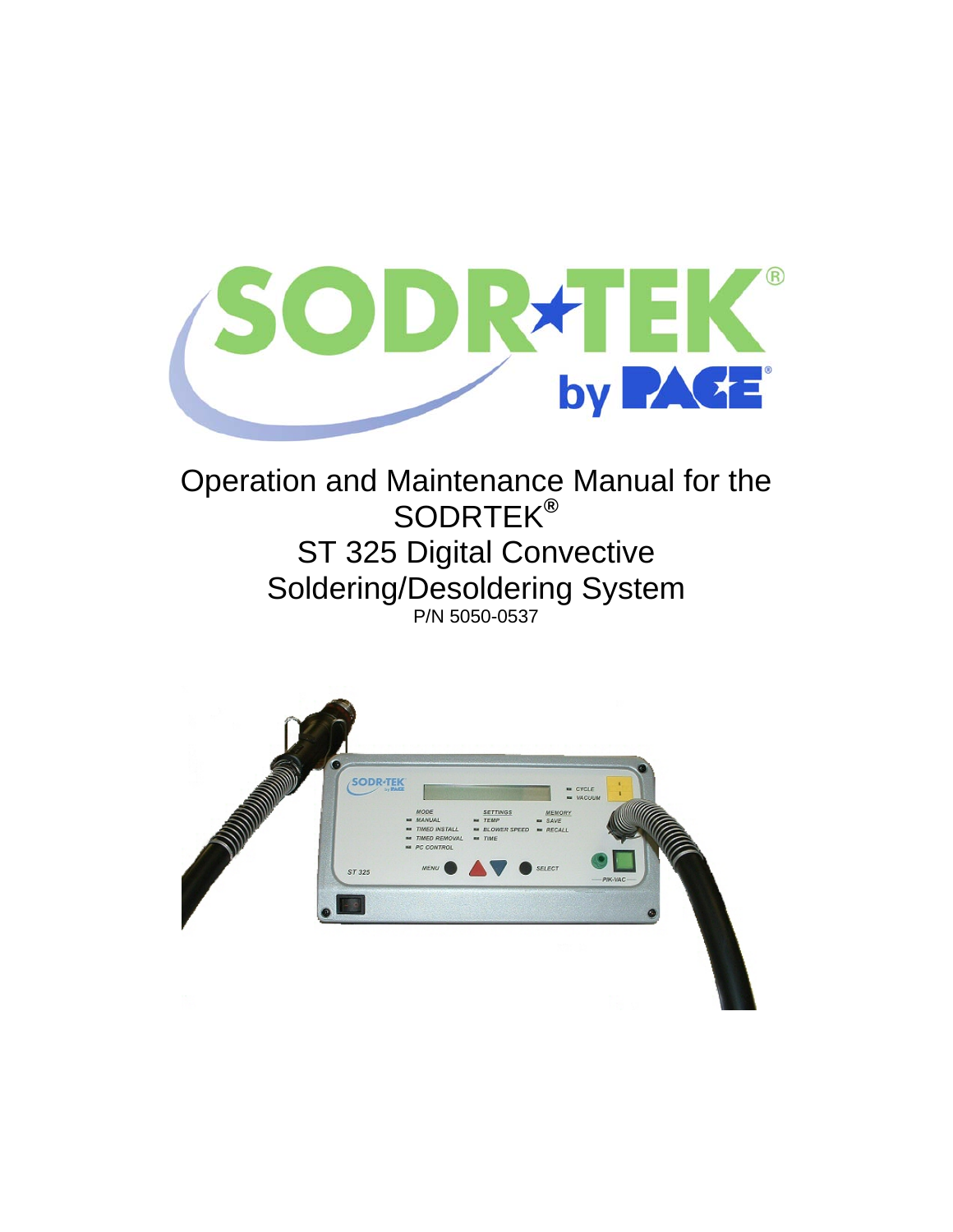

# Operation and Maintenance Manual for the SODRTEK**®** ST 325 Digital Convective Soldering/Desoldering System P/N 5050-0537

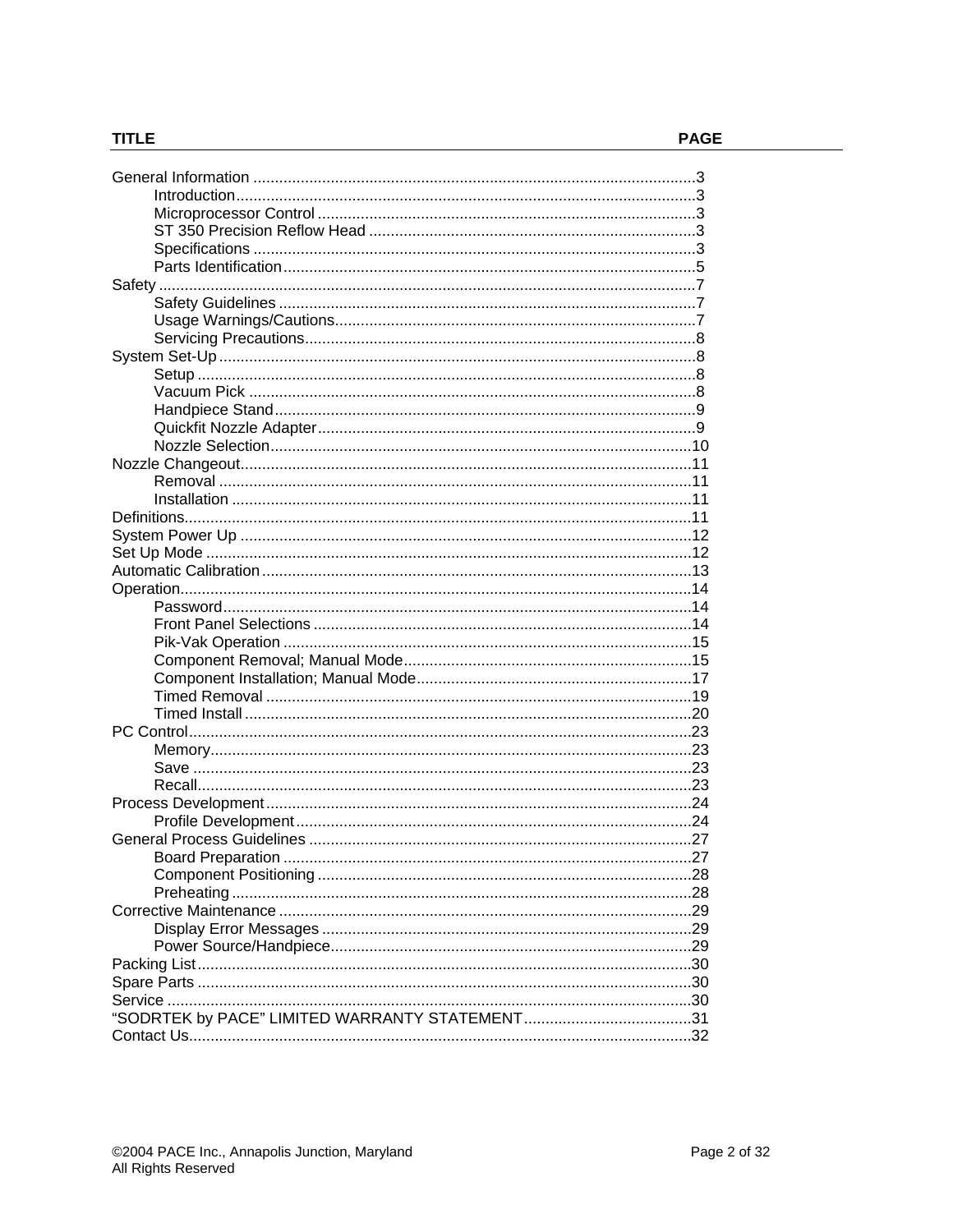# **TITLE**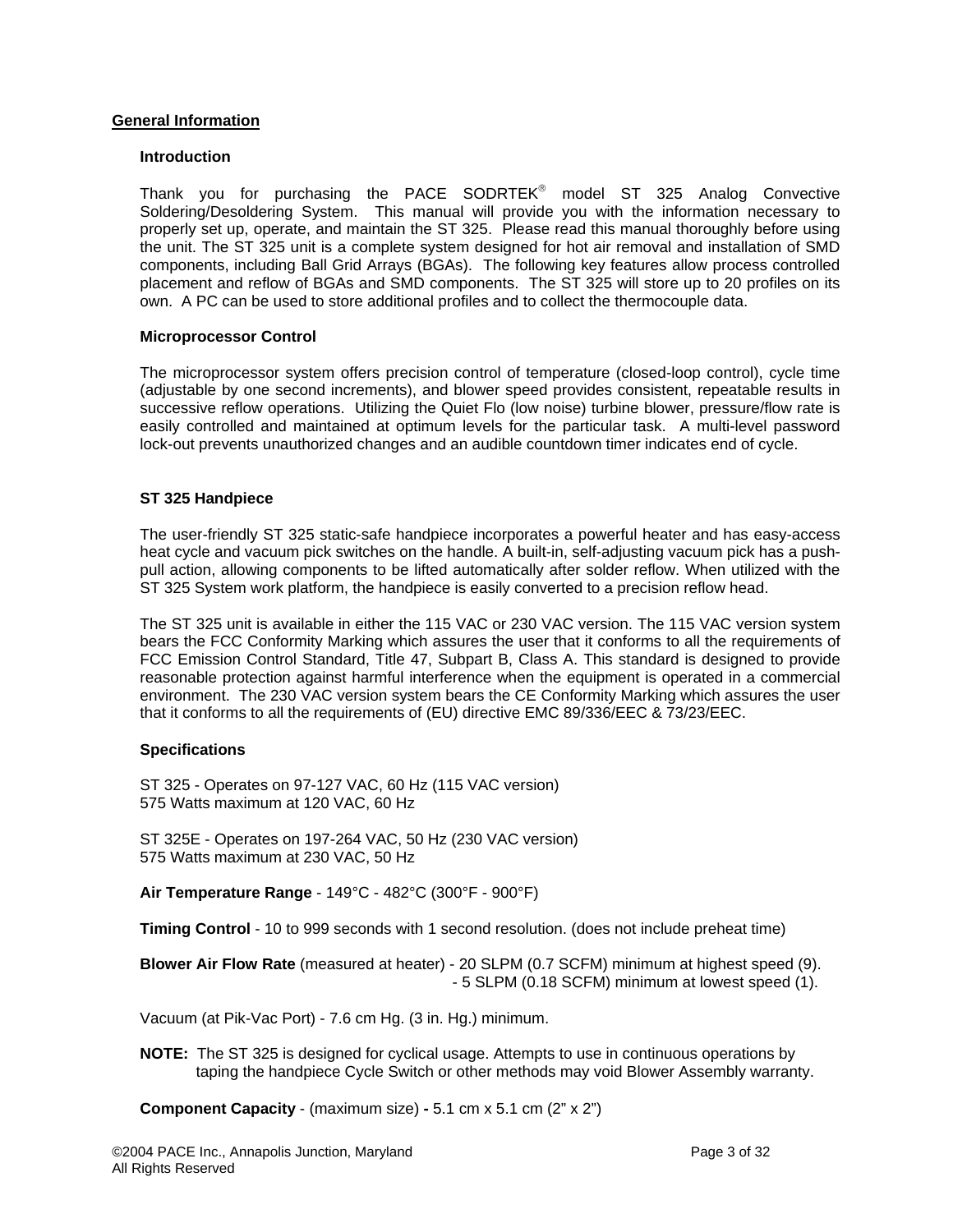## **General Information**

#### **Introduction**

Thank you for purchasing the PACE SODRTEK® model ST 325 Analog Convective Soldering/Desoldering System. This manual will provide you with the information necessary to properly set up, operate, and maintain the ST 325. Please read this manual thoroughly before using the unit. The ST 325 unit is a complete system designed for hot air removal and installation of SMD components, including Ball Grid Arrays (BGAs). The following key features allow process controlled placement and reflow of BGAs and SMD components. The ST 325 will store up to 20 profiles on its own. A PC can be used to store additional profiles and to collect the thermocouple data.

#### **Microprocessor Control**

The microprocessor system offers precision control of temperature (closed-loop control), cycle time (adjustable by one second increments), and blower speed provides consistent, repeatable results in successive reflow operations. Utilizing the Quiet Flo (low noise) turbine blower, pressure/flow rate is easily controlled and maintained at optimum levels for the particular task. A multi-level password lock-out prevents unauthorized changes and an audible countdown timer indicates end of cycle.

#### **ST 325 Handpiece**

The user-friendly ST 325 static-safe handpiece incorporates a powerful heater and has easy-access heat cycle and vacuum pick switches on the handle. A built-in, self-adjusting vacuum pick has a pushpull action, allowing components to be lifted automatically after solder reflow. When utilized with the ST 325 System work platform, the handpiece is easily converted to a precision reflow head.

The ST 325 unit is available in either the 115 VAC or 230 VAC version. The 115 VAC version system bears the FCC Conformity Marking which assures the user that it conforms to all the requirements of FCC Emission Control Standard, Title 47, Subpart B, Class A. This standard is designed to provide reasonable protection against harmful interference when the equipment is operated in a commercial environment. The 230 VAC version system bears the CE Conformity Marking which assures the user that it conforms to all the requirements of (EU) directive EMC 89/336/EEC & 73/23/EEC.

#### **Specifications**

ST 325 - Operates on 97-127 VAC, 60 Hz (115 VAC version) 575 Watts maximum at 120 VAC, 60 Hz

ST 325E - Operates on 197-264 VAC, 50 Hz (230 VAC version) 575 Watts maximum at 230 VAC, 50 Hz

**Air Temperature Range** - 149°C - 482°C (300°F - 900°F)

**Timing Control** - 10 to 999 seconds with 1 second resolution. (does not include preheat time)

**Blower Air Flow Rate** (measured at heater) - 20 SLPM (0.7 SCFM) minimum at highest speed (9). - 5 SLPM (0.18 SCFM) minimum at lowest speed (1).

Vacuum (at Pik-Vac Port) - 7.6 cm Hg. (3 in. Hg.) minimum.

**NOTE:** The ST 325 is designed for cyclical usage. Attempts to use in continuous operations by taping the handpiece Cycle Switch or other methods may void Blower Assembly warranty.

**Component Capacity** - (maximum size) **-** 5.1 cm x 5.1 cm (2" x 2")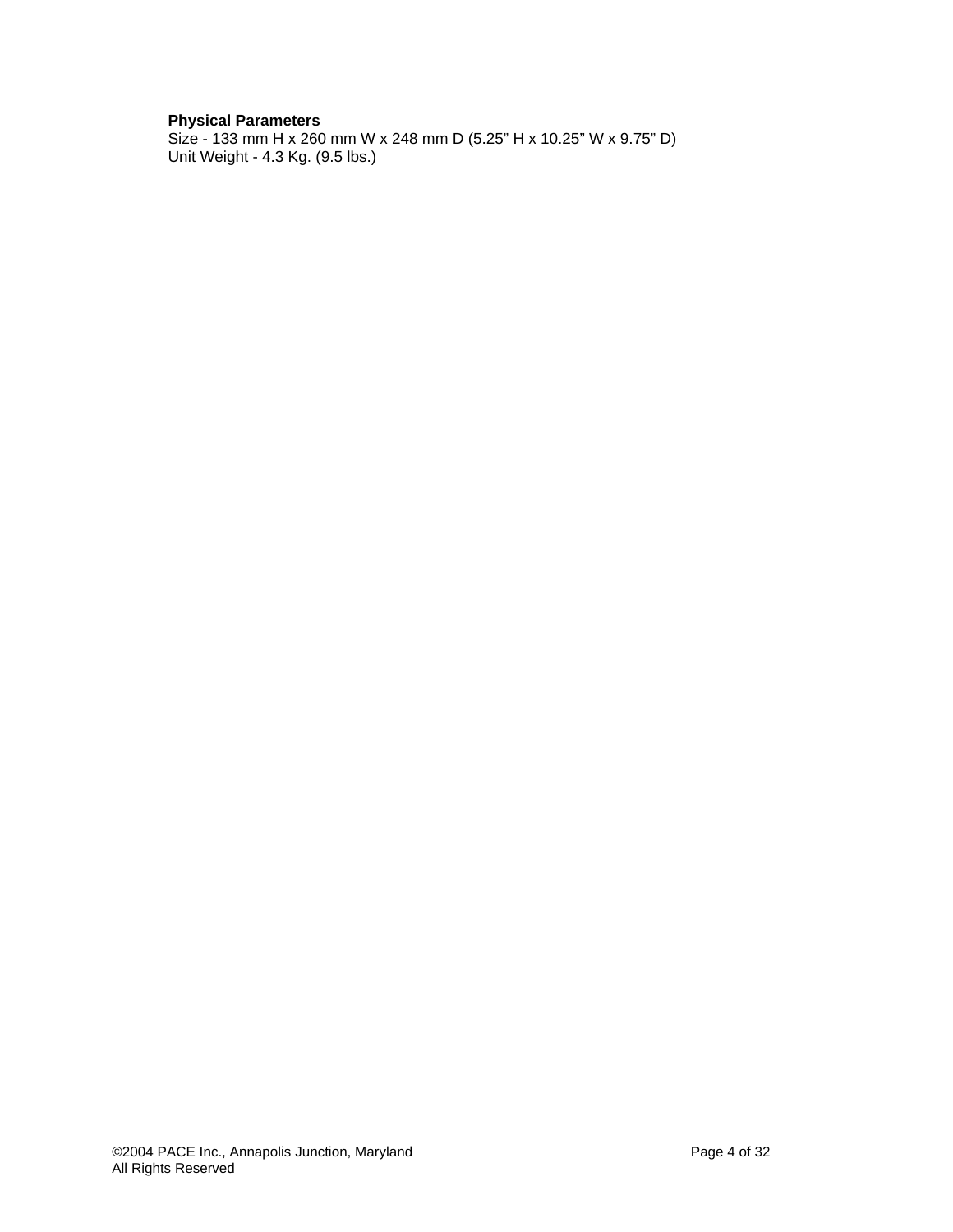# **Physical Parameters**

Size - 133 mm H x 260 mm W x 248 mm D (5.25" H x 10.25" W x 9.75" D) Unit Weight - 4.3 Kg. (9.5 lbs.)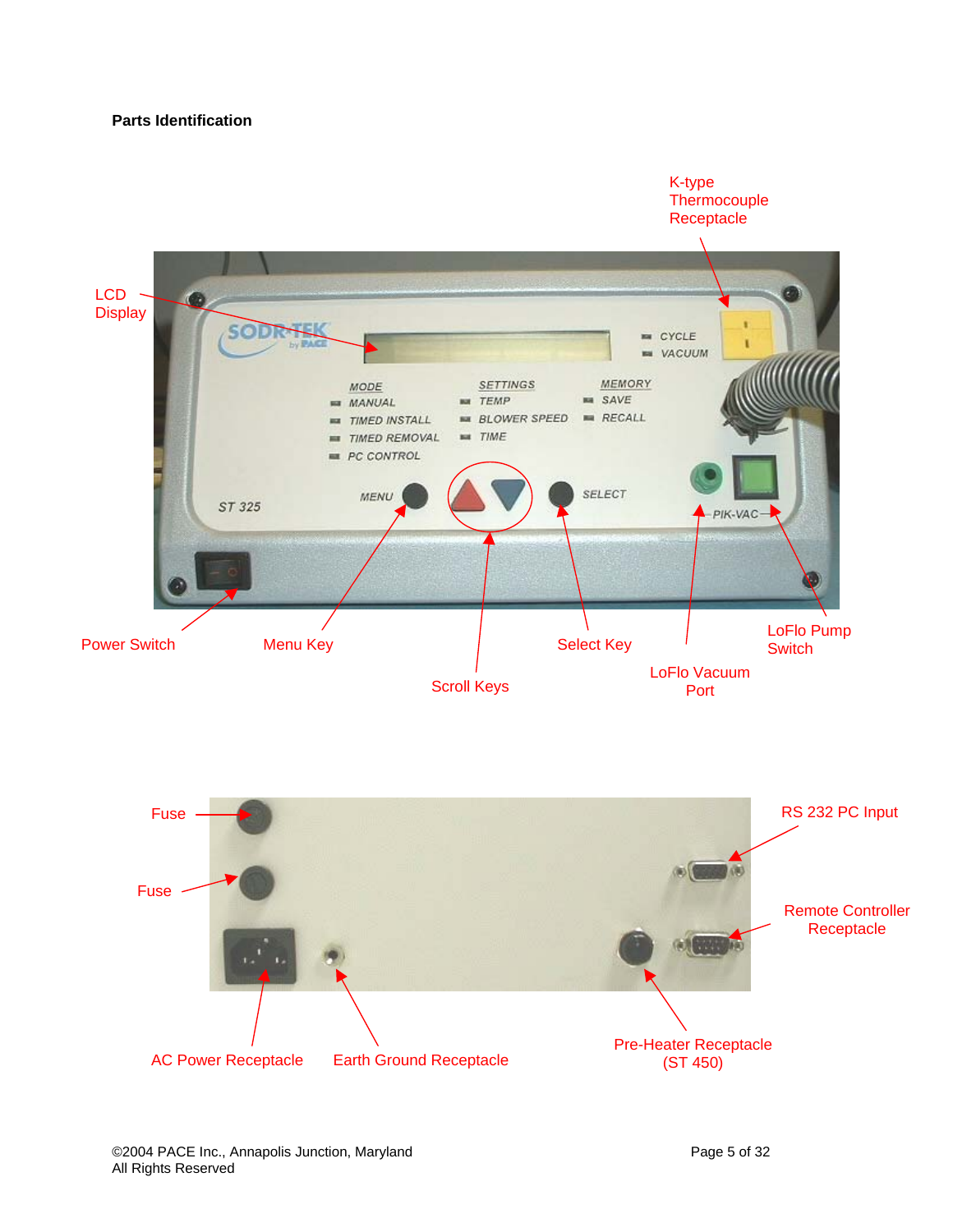# **Parts Identification**



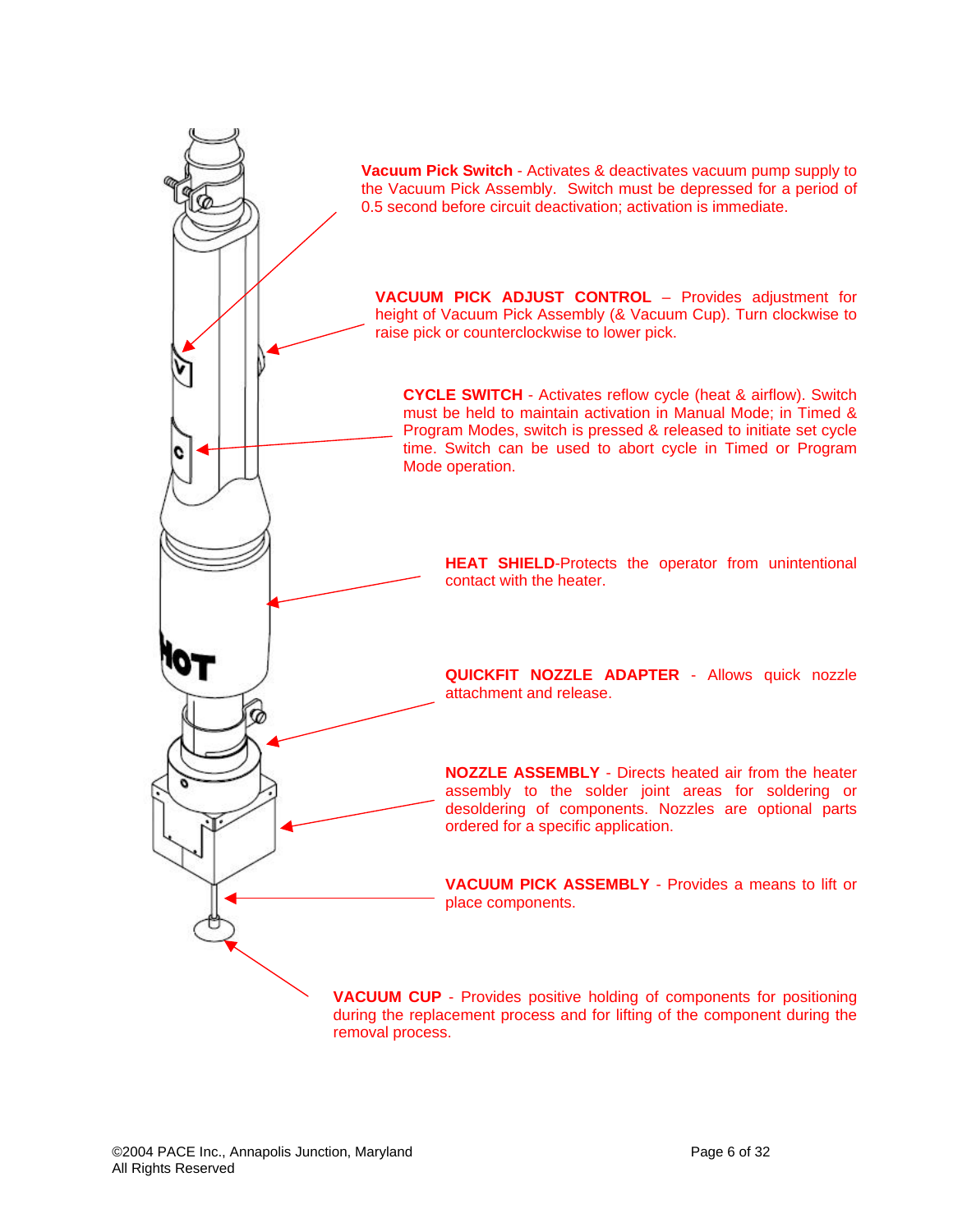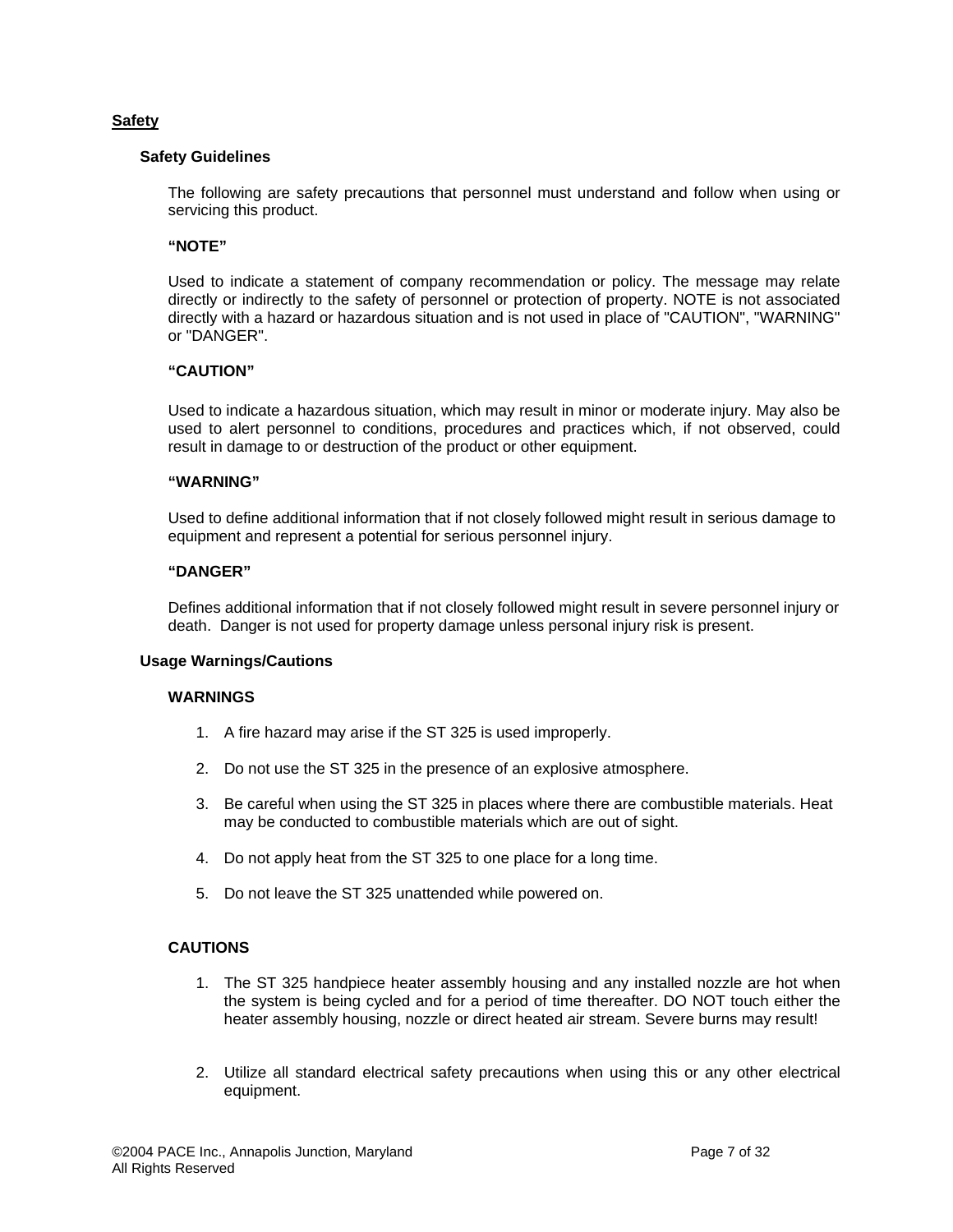## **Safety**

#### **Safety Guidelines**

The following are safety precautions that personnel must understand and follow when using or servicing this product.

#### **"NOTE"**

Used to indicate a statement of company recommendation or policy. The message may relate directly or indirectly to the safety of personnel or protection of property. NOTE is not associated directly with a hazard or hazardous situation and is not used in place of "CAUTION", "WARNING" or "DANGER".

#### **"CAUTION"**

Used to indicate a hazardous situation, which may result in minor or moderate injury. May also be used to alert personnel to conditions, procedures and practices which, if not observed, could result in damage to or destruction of the product or other equipment.

#### **"WARNING"**

Used to define additional information that if not closely followed might result in serious damage to equipment and represent a potential for serious personnel injury.

#### **"DANGER"**

Defines additional information that if not closely followed might result in severe personnel injury or death. Danger is not used for property damage unless personal injury risk is present.

#### **Usage Warnings/Cautions**

## **WARNINGS**

- 1. A fire hazard may arise if the ST 325 is used improperly.
- 2. Do not use the ST 325 in the presence of an explosive atmosphere.
- 3. Be careful when using the ST 325 in places where there are combustible materials. Heat may be conducted to combustible materials which are out of sight.
- 4. Do not apply heat from the ST 325 to one place for a long time.
- 5. Do not leave the ST 325 unattended while powered on.

#### **CAUTIONS**

- 1. The ST 325 handpiece heater assembly housing and any installed nozzle are hot when the system is being cycled and for a period of time thereafter. DO NOT touch either the heater assembly housing, nozzle or direct heated air stream. Severe burns may result!
- 2. Utilize all standard electrical safety precautions when using this or any other electrical equipment.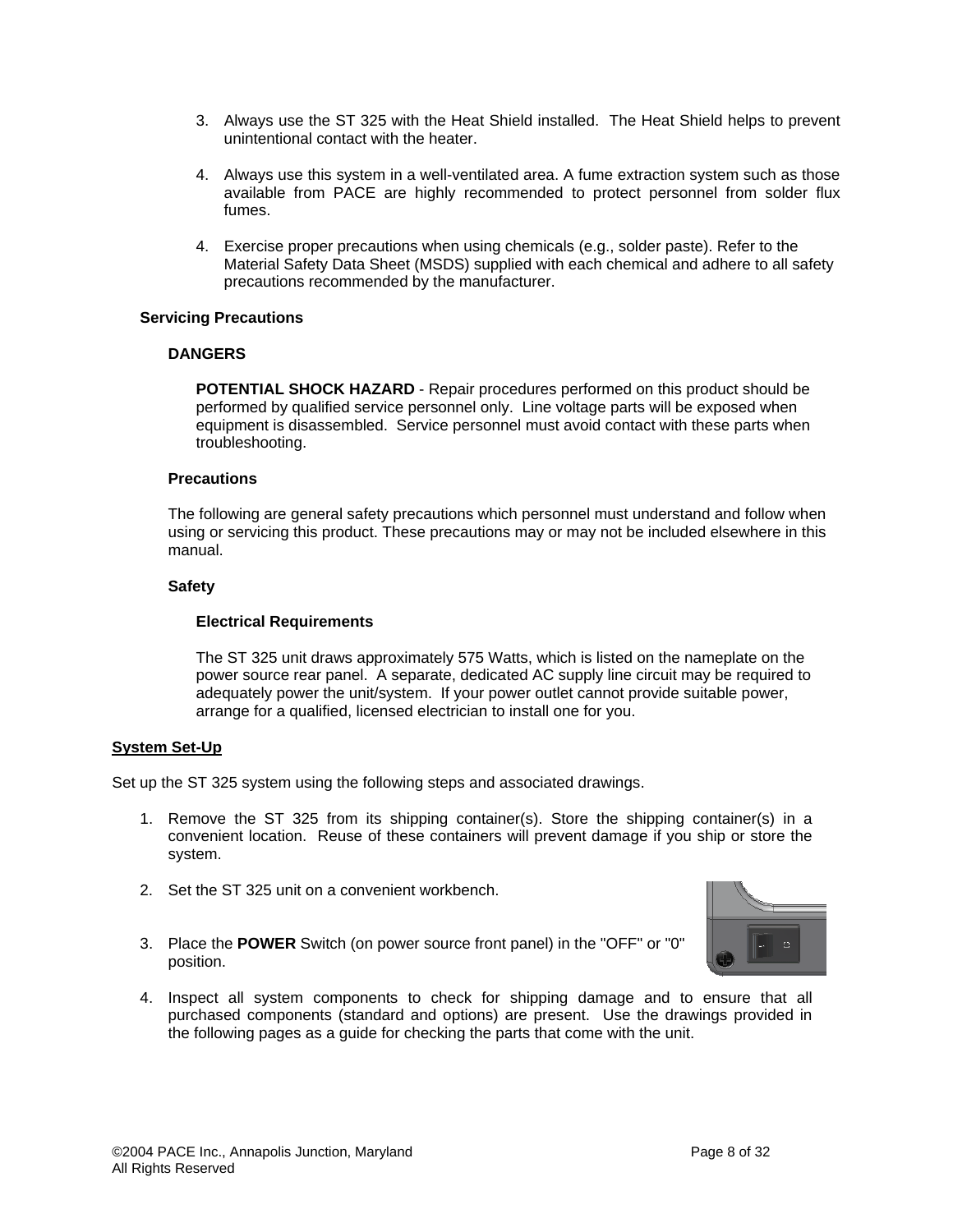- 3. Always use the ST 325 with the Heat Shield installed. The Heat Shield helps to prevent unintentional contact with the heater.
- 4. Always use this system in a well-ventilated area. A fume extraction system such as those available from PACE are highly recommended to protect personnel from solder flux fumes.
- 4. Exercise proper precautions when using chemicals (e.g., solder paste). Refer to the Material Safety Data Sheet (MSDS) supplied with each chemical and adhere to all safety precautions recommended by the manufacturer.

## **Servicing Precautions**

## **DANGERS**

**POTENTIAL SHOCK HAZARD** - Repair procedures performed on this product should be performed by qualified service personnel only. Line voltage parts will be exposed when equipment is disassembled. Service personnel must avoid contact with these parts when troubleshooting.

## **Precautions**

The following are general safety precautions which personnel must understand and follow when using or servicing this product. These precautions may or may not be included elsewhere in this manual.

## **Safety**

## **Electrical Requirements**

The ST 325 unit draws approximately 575 Watts, which is listed on the nameplate on the power source rear panel. A separate, dedicated AC supply line circuit may be required to adequately power the unit/system. If your power outlet cannot provide suitable power, arrange for a qualified, licensed electrician to install one for you.

#### **System Set-Up**

Set up the ST 325 system using the following steps and associated drawings.

- 1. Remove the ST 325 from its shipping container(s). Store the shipping container(s) in a convenient location. Reuse of these containers will prevent damage if you ship or store the system.
- 2. Set the ST 325 unit on a convenient workbench.
- 3. Place the **POWER** Switch (on power source front panel) in the "OFF" or "0" position.



4. Inspect all system components to check for shipping damage and to ensure that all purchased components (standard and options) are present. Use the drawings provided in the following pages as a guide for checking the parts that come with the unit.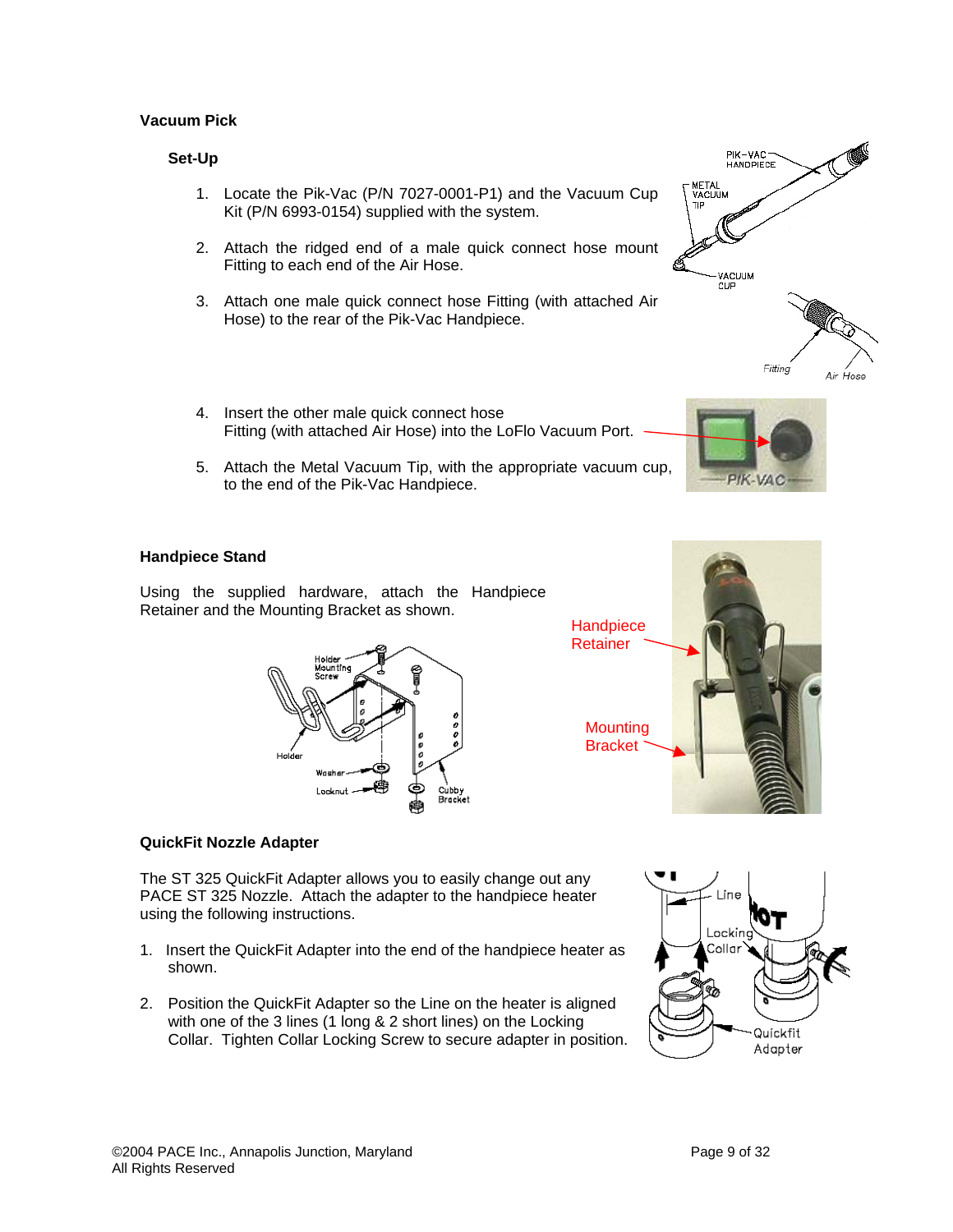## **Vacuum Pick**

## **Set-Up**

- 1. Locate the Pik-Vac (P/N 7027-0001-P1) and the Vacuum Cup Kit (P/N 6993-0154) supplied with the system.
- 2. Attach the ridged end of a male quick connect hose mount Fitting to each end of the Air Hose.
- 3. Attach one male quick connect hose Fitting (with attached Air Hose) to the rear of the Pik-Vac Handpiece.
- 4. Insert the other male quick connect hose Fitting (with attached Air Hose) into the LoFlo Vacuum Port.
- 5. Attach the Metal Vacuum Tip, with the appropriate vacuum cup, to the end of the Pik-Vac Handpiece.





## **Handpiece Stand**

Using the supplied hardware, attach the Handpiece Retainer and the Mounting Bracket as shown.





## **QuickFit Nozzle Adapter**

The ST 325 QuickFit Adapter allows you to easily change out any PACE ST 325 Nozzle. Attach the adapter to the handpiece heater using the following instructions.

- 1. Insert the QuickFit Adapter into the end of the handpiece heater as shown.
- 2. Position the QuickFit Adapter so the Line on the heater is aligned with one of the 3 lines (1 long & 2 short lines) on the Locking Collar. Tighten Collar Locking Screw to secure adapter in position.

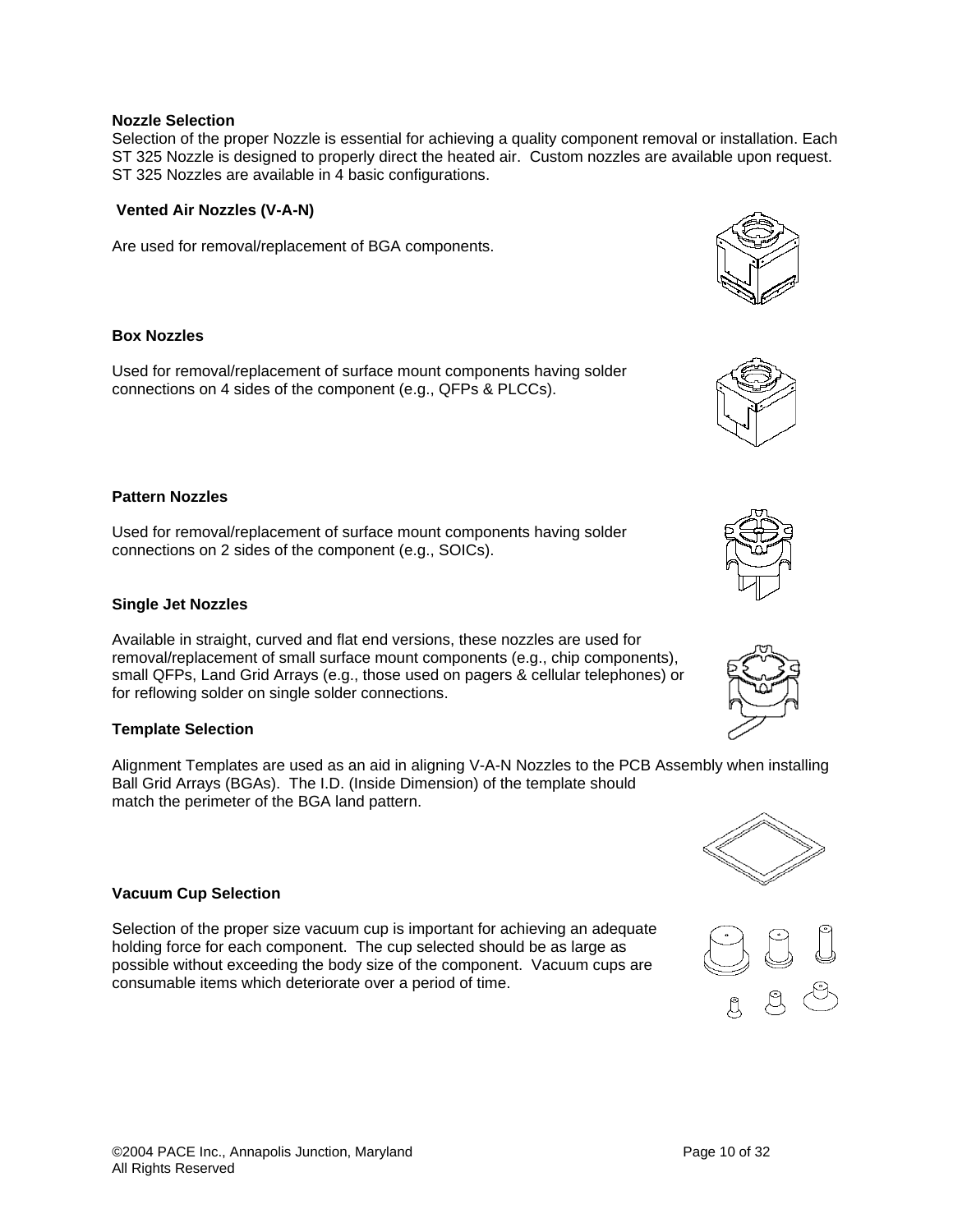## **Nozzle Selection**

Selection of the proper Nozzle is essential for achieving a quality component removal or installation. Each ST 325 Nozzle is designed to properly direct the heated air. Custom nozzles are available upon request. ST 325 Nozzles are available in 4 basic configurations.

## **Vented Air Nozzles (V-A-N)**

Are used for removal/replacement of BGA components.

## **Box Nozzles**

Used for removal/replacement of surface mount components having solder connections on 4 sides of the component (e.g., QFPs & PLCCs).

#### **Pattern Nozzles**

Used for removal/replacement of surface mount components having solder connections on 2 sides of the component (e.g., SOICs).

#### **Single Jet Nozzles**

Available in straight, curved and flat end versions, these nozzles are used for removal/replacement of small surface mount components (e.g., chip components), small QFPs, Land Grid Arrays (e.g., those used on pagers & cellular telephones) or for reflowing solder on single solder connections.

#### **Template Selection**

Alignment Templates are used as an aid in aligning V-A-N Nozzles to the PCB Assembly when installing Ball Grid Arrays (BGAs). The I.D. (Inside Dimension) of the template should match the perimeter of the BGA land pattern.

#### **Vacuum Cup Selection**

Selection of the proper size vacuum cup is important for achieving an adequate holding force for each component. The cup selected should be as large as possible without exceeding the body size of the component. Vacuum cups are consumable items which deteriorate over a period of time.









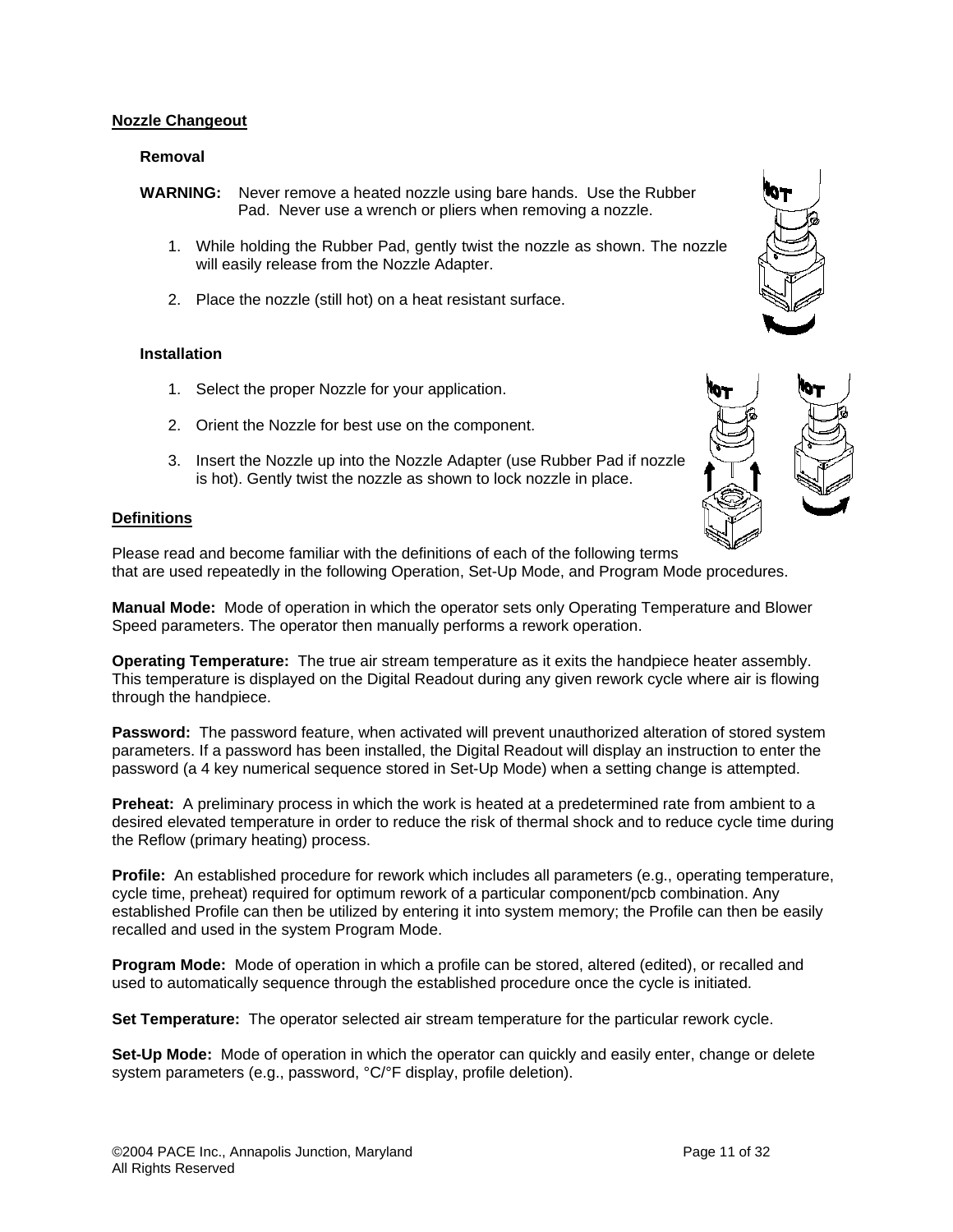## **Nozzle Changeout**

#### **Removal**

- **WARNING:** Never remove a heated nozzle using bare hands. Use the Rubber Pad. Never use a wrench or pliers when removing a nozzle.
	- 1. While holding the Rubber Pad, gently twist the nozzle as shown. The nozzle will easily release from the Nozzle Adapter.
	- 2. Place the nozzle (still hot) on a heat resistant surface.

#### **Installation**

- 1. Select the proper Nozzle for your application.
- 2. Orient the Nozzle for best use on the component.
- 3. Insert the Nozzle up into the Nozzle Adapter (use Rubber Pad if nozzle is hot). Gently twist the nozzle as shown to lock nozzle in place.

## **Definitions**

Please read and become familiar with the definitions of each of the following terms that are used repeatedly in the following Operation, Set-Up Mode, and Program Mode procedures.

**Manual Mode:** Mode of operation in which the operator sets only Operating Temperature and Blower Speed parameters. The operator then manually performs a rework operation.

**Operating Temperature:** The true air stream temperature as it exits the handpiece heater assembly. This temperature is displayed on the Digital Readout during any given rework cycle where air is flowing through the handpiece.

**Password:** The password feature, when activated will prevent unauthorized alteration of stored system parameters. If a password has been installed, the Digital Readout will display an instruction to enter the password (a 4 key numerical sequence stored in Set-Up Mode) when a setting change is attempted.

**Preheat:** A preliminary process in which the work is heated at a predetermined rate from ambient to a desired elevated temperature in order to reduce the risk of thermal shock and to reduce cycle time during the Reflow (primary heating) process.

**Profile:** An established procedure for rework which includes all parameters (e.g., operating temperature, cycle time, preheat) required for optimum rework of a particular component/pcb combination. Any established Profile can then be utilized by entering it into system memory; the Profile can then be easily recalled and used in the system Program Mode.

**Program Mode:** Mode of operation in which a profile can be stored, altered (edited), or recalled and used to automatically sequence through the established procedure once the cycle is initiated.

**Set Temperature:** The operator selected air stream temperature for the particular rework cycle.

**Set-Up Mode:** Mode of operation in which the operator can quickly and easily enter, change or delete system parameters (e.g., password, °C/°F display, profile deletion).

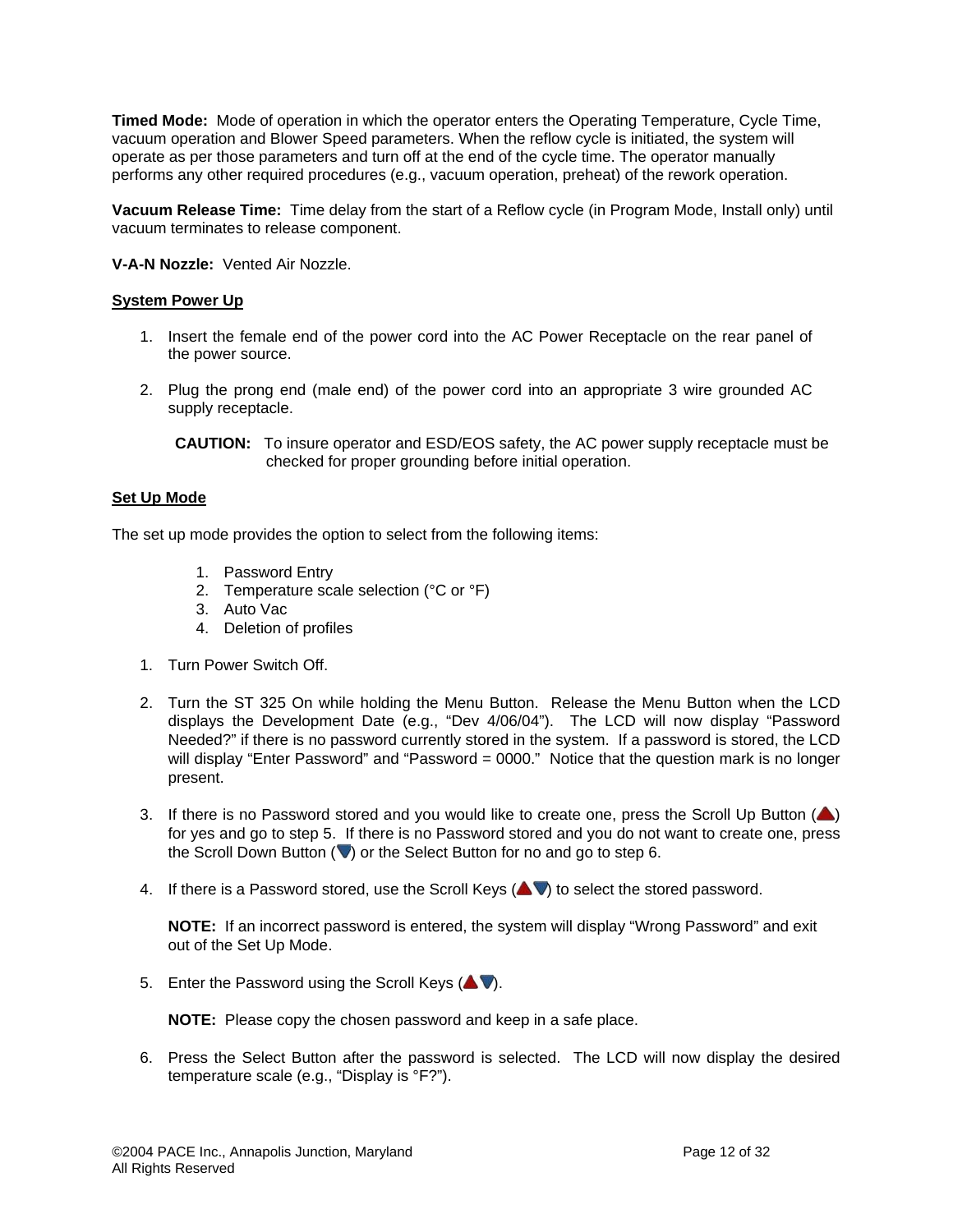**Timed Mode:** Mode of operation in which the operator enters the Operating Temperature, Cycle Time, vacuum operation and Blower Speed parameters. When the reflow cycle is initiated, the system will operate as per those parameters and turn off at the end of the cycle time. The operator manually performs any other required procedures (e.g., vacuum operation, preheat) of the rework operation.

**Vacuum Release Time:** Time delay from the start of a Reflow cycle (in Program Mode, Install only) until vacuum terminates to release component.

**V-A-N Nozzle:** Vented Air Nozzle.

## **System Power Up**

- 1. Insert the female end of the power cord into the AC Power Receptacle on the rear panel of the power source.
- 2. Plug the prong end (male end) of the power cord into an appropriate 3 wire grounded AC supply receptacle.

#### **Set Up Mode**

The set up mode provides the option to select from the following items:

- 1. Password Entry
- 2. Temperature scale selection (°C or °F)
- 3. Auto Vac
- 4. Deletion of profiles
- 1. Turn Power Switch Off.
- 2. Turn the ST 325 On while holding the Menu Button. Release the Menu Button when the LCD displays the Development Date (e.g., "Dev 4/06/04"). The LCD will now display "Password Needed?" if there is no password currently stored in the system. If a password is stored, the LCD will display "Enter Password" and "Password = 0000." Notice that the question mark is no longer present.
- 3. If there is no Password stored and you would like to create one, press the Scroll Up Button  $($ for yes and go to step 5. If there is no Password stored and you do not want to create one, press the Scroll Down Button  $(\blacktriangledown)$  or the Select Button for no and go to step 6.
- 4. If there is a Password stored, use the Scroll Keys  $($   $\blacktriangleright$  to select the stored password.

**NOTE:** If an incorrect password is entered, the system will display "Wrong Password" and exit out of the Set Up Mode.

5. Enter the Password using the Scroll Keys  $($ 

**NOTE:** Please copy the chosen password and keep in a safe place.

6. Press the Select Button after the password is selected. The LCD will now display the desired temperature scale (e.g., "Display is °F?").

**CAUTION:** To insure operator and ESD/EOS safety, the AC power supply receptacle must be checked for proper grounding before initial operation.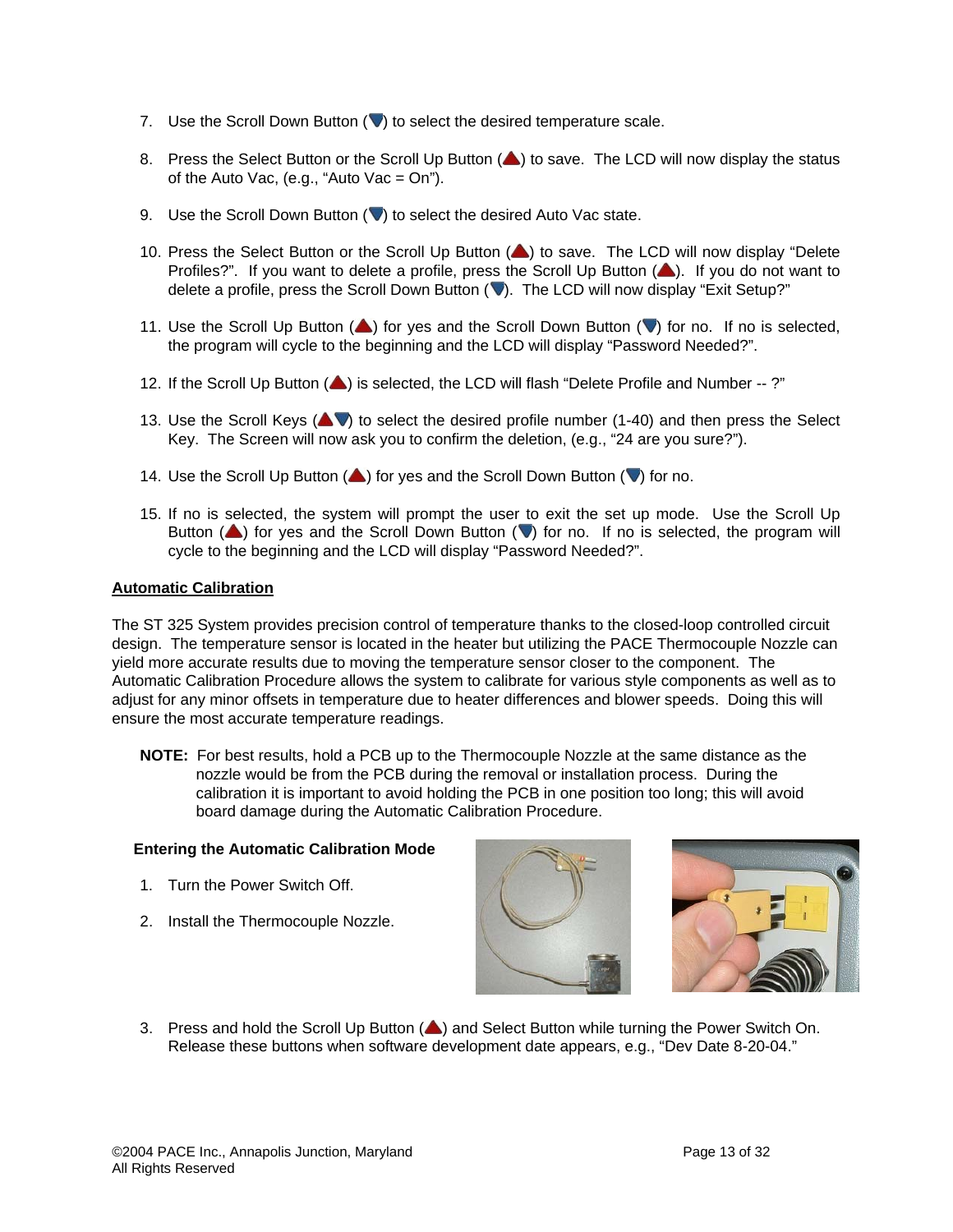- 7. Use the Scroll Down Button  $(\vee)$  to select the desired temperature scale.
- 8. Press the Select Button or the Scroll Up Button (4) to save. The LCD will now display the status of the Auto Vac, (e.g., "Auto Vac =  $On$ ").
- 9. Use the Scroll Down Button  $(\vee)$  to select the desired Auto Vac state.
- 10. Press the Select Button or the Scroll Up Button (A) to save. The LCD will now display "Delete Profiles?". If you want to delete a profile, press the Scroll Up Button (A). If you do not want to delete a profile, press the Scroll Down Button (V). The LCD will now display "Exit Setup?"
- 11. Use the Scroll Up Button ( $\triangle$ ) for yes and the Scroll Down Button ( $\vee$ ) for no. If no is selected, the program will cycle to the beginning and the LCD will display "Password Needed?".
- 12. If the Scroll Up Button ( $\blacktriangle$ ) is selected, the LCD will flash "Delete Profile and Number --?"
- 13. Use the Scroll Keys ( $\blacktriangle$ V) to select the desired profile number (1-40) and then press the Select Key. The Screen will now ask you to confirm the deletion, (e.g., "24 are you sure?").
- 14. Use the Scroll Up Button  $($ ) for yes and the Scroll Down Button  $($  $\blacktriangledown)$  for no.
- 15. If no is selected, the system will prompt the user to exit the set up mode. Use the Scroll Up Button  $($ **)** for yes and the Scroll Down Button  $($ **v**) for no. If no is selected, the program will cycle to the beginning and the LCD will display "Password Needed?".

## **Automatic Calibration**

The ST 325 System provides precision control of temperature thanks to the closed-loop controlled circuit design. The temperature sensor is located in the heater but utilizing the PACE Thermocouple Nozzle can yield more accurate results due to moving the temperature sensor closer to the component. The Automatic Calibration Procedure allows the system to calibrate for various style components as well as to adjust for any minor offsets in temperature due to heater differences and blower speeds. Doing this will ensure the most accurate temperature readings.

**NOTE:** For best results, hold a PCB up to the Thermocouple Nozzle at the same distance as the nozzle would be from the PCB during the removal or installation process. During the calibration it is important to avoid holding the PCB in one position too long; this will avoid board damage during the Automatic Calibration Procedure.

#### **Entering the Automatic Calibration Mode**

- 1. Turn the Power Switch Off.
- 2. Install the Thermocouple Nozzle.





3. Press and hold the Scroll Up Button  $($ **A**) and Select Button while turning the Power Switch On. Release these buttons when software development date appears, e.g., "Dev Date 8-20-04."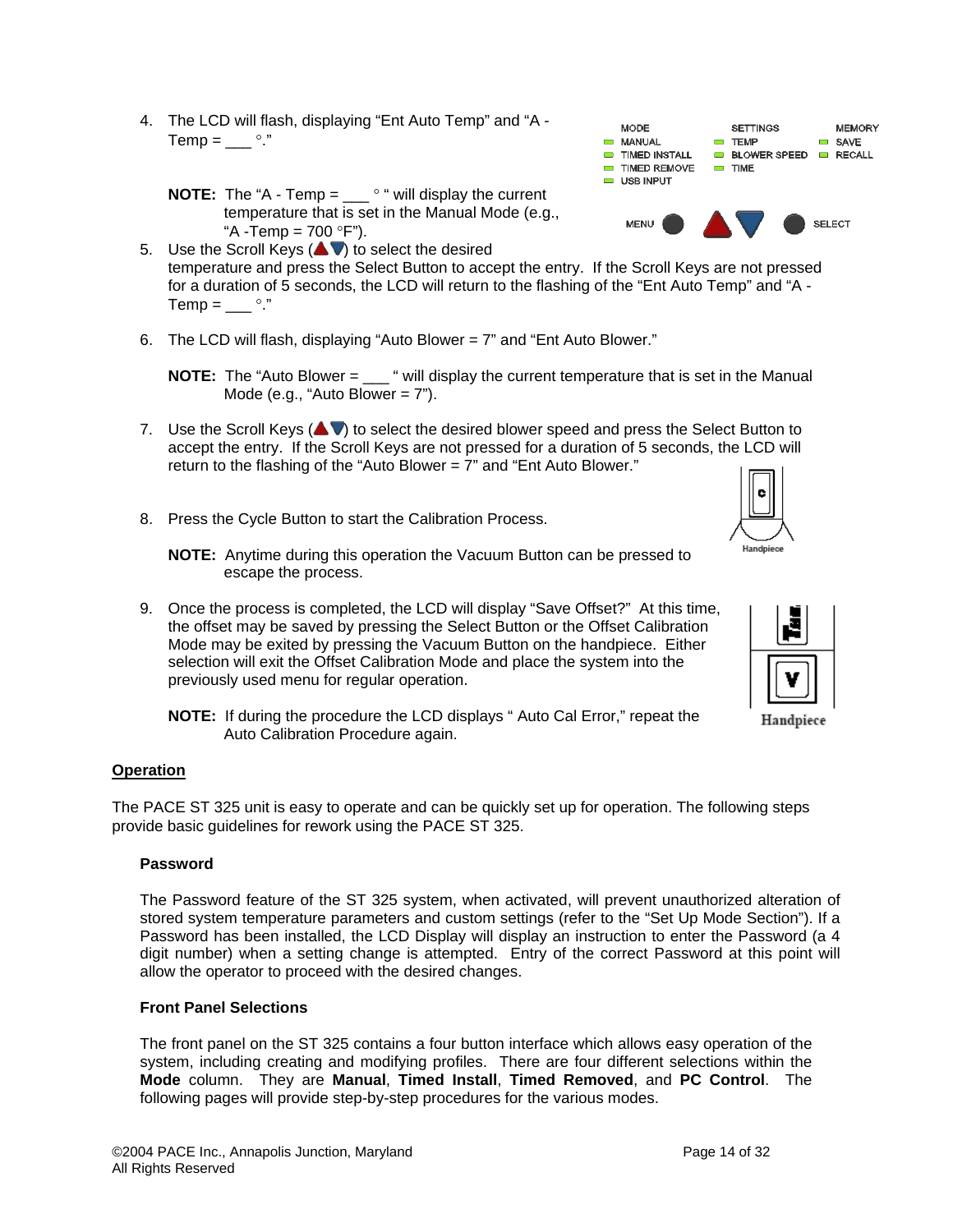4. The LCD will flash, displaying "Ent Auto Temp" and "A -  $Temp = \_\_\circ$ "

**NOTE:** The "A - Temp = \_\_\_ ° " will display the current temperature that is set in the Manual Mode (e.g., "A -Temp =  $700 °F$ ").

- 5. Use the Scroll Keys  $($   $\blacktriangleright$   $)$  to select the desired temperature and press the Select Button to accept the entry. If the Scroll Keys are not pressed for a duration of 5 seconds, the LCD will return to the flashing of the "Ent Auto Temp" and "A - Temp =  $\_\_\circ$ ".
- 6. The LCD will flash, displaying "Auto Blower  $= 7$ " and "Ent Auto Blower."
	- **NOTE:** The "Auto Blower = " will display the current temperature that is set in the Manual Mode (e.g., "Auto Blower =  $7$ ").
- 7. Use the Scroll Keys  $($   $\blacktriangleright$  to select the desired blower speed and press the Select Button to accept the entry. If the Scroll Keys are not pressed for a duration of 5 seconds, the LCD will return to the flashing of the "Auto Blower = 7" and "Ent Auto Blower."
- 8. Press the Cycle Button to start the Calibration Process.

**NOTE:** Anytime during this operation the Vacuum Button can be pressed to escape the process.

- 9. Once the process is completed, the LCD will display "Save Offset?" At this time, the offset may be saved by pressing the Select Button or the Offset Calibration Mode may be exited by pressing the Vacuum Button on the handpiece. Either selection will exit the Offset Calibration Mode and place the system into the previously used menu for regular operation.
	- **NOTE:** If during the procedure the LCD displays " Auto Cal Error," repeat the Auto Calibration Procedure again.

## **Operation**

The PACE ST 325 unit is easy to operate and can be quickly set up for operation. The following steps provide basic guidelines for rework using the PACE ST 325.

#### **Password**

The Password feature of the ST 325 system, when activated, will prevent unauthorized alteration of stored system temperature parameters and custom settings (refer to the "Set Up Mode Section"). If a Password has been installed, the LCD Display will display an instruction to enter the Password (a 4 digit number) when a setting change is attempted. Entry of the correct Password at this point will allow the operator to proceed with the desired changes.

## **Front Panel Selections**

The front panel on the ST 325 contains a four button interface which allows easy operation of the system, including creating and modifying profiles. There are four different selections within the **Mode** column. They are **Manual**, **Timed Install**, **Timed Removed**, and **PC Control**. The following pages will provide step-by-step procedures for the various modes.





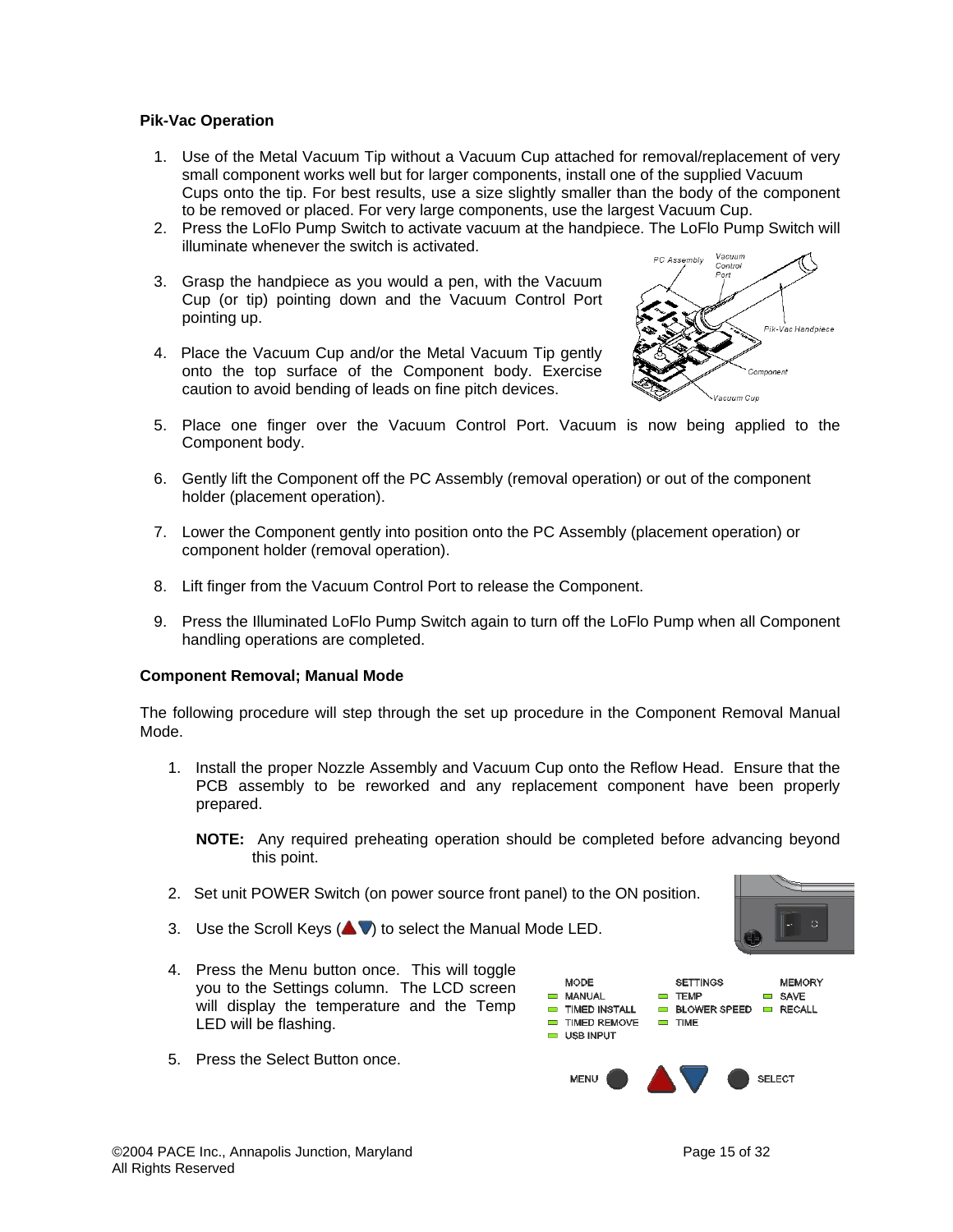## **Pik-Vac Operation**

- 1. Use of the Metal Vacuum Tip without a Vacuum Cup attached for removal/replacement of very small component works well but for larger components, install one of the supplied Vacuum Cups onto the tip. For best results, use a size slightly smaller than the body of the component to be removed or placed. For very large components, use the largest Vacuum Cup.
- 2. Press the LoFlo Pump Switch to activate vacuum at the handpiece. The LoFlo Pump Switch will illuminate whenever the switch is activated.
- 3. Grasp the handpiece as you would a pen, with the Vacuum Cup (or tip) pointing down and the Vacuum Control Port pointing up.
- 4. Place the Vacuum Cup and/or the Metal Vacuum Tip gently onto the top surface of the Component body. Exercise caution to avoid bending of leads on fine pitch devices.



- 5. Place one finger over the Vacuum Control Port. Vacuum is now being applied to the Component body.
- 6. Gently lift the Component off the PC Assembly (removal operation) or out of the component holder (placement operation).
- 7. Lower the Component gently into position onto the PC Assembly (placement operation) or component holder (removal operation).
- 8. Lift finger from the Vacuum Control Port to release the Component.
- 9. Press the Illuminated LoFlo Pump Switch again to turn off the LoFlo Pump when all Component handling operations are completed.

#### **Component Removal; Manual Mode**

The following procedure will step through the set up procedure in the Component Removal Manual Mode.

1. Install the proper Nozzle Assembly and Vacuum Cup onto the Reflow Head. Ensure that the PCB assembly to be reworked and any replacement component have been properly prepared.

**NOTE:** Any required preheating operation should be completed before advancing beyond this point.

- 2. Set unit POWER Switch (on power source front panel) to the ON position.
- 3. Use the Scroll Keys  $($   $\blacktriangleright$   $\blacktriangleright$  to select the Manual Mode LED.
- 4. Press the Menu button once. This will toggle you to the Settings column. The LCD screen will display the temperature and the Temp LED will be flashing.
- 5. Press the Select Button once.

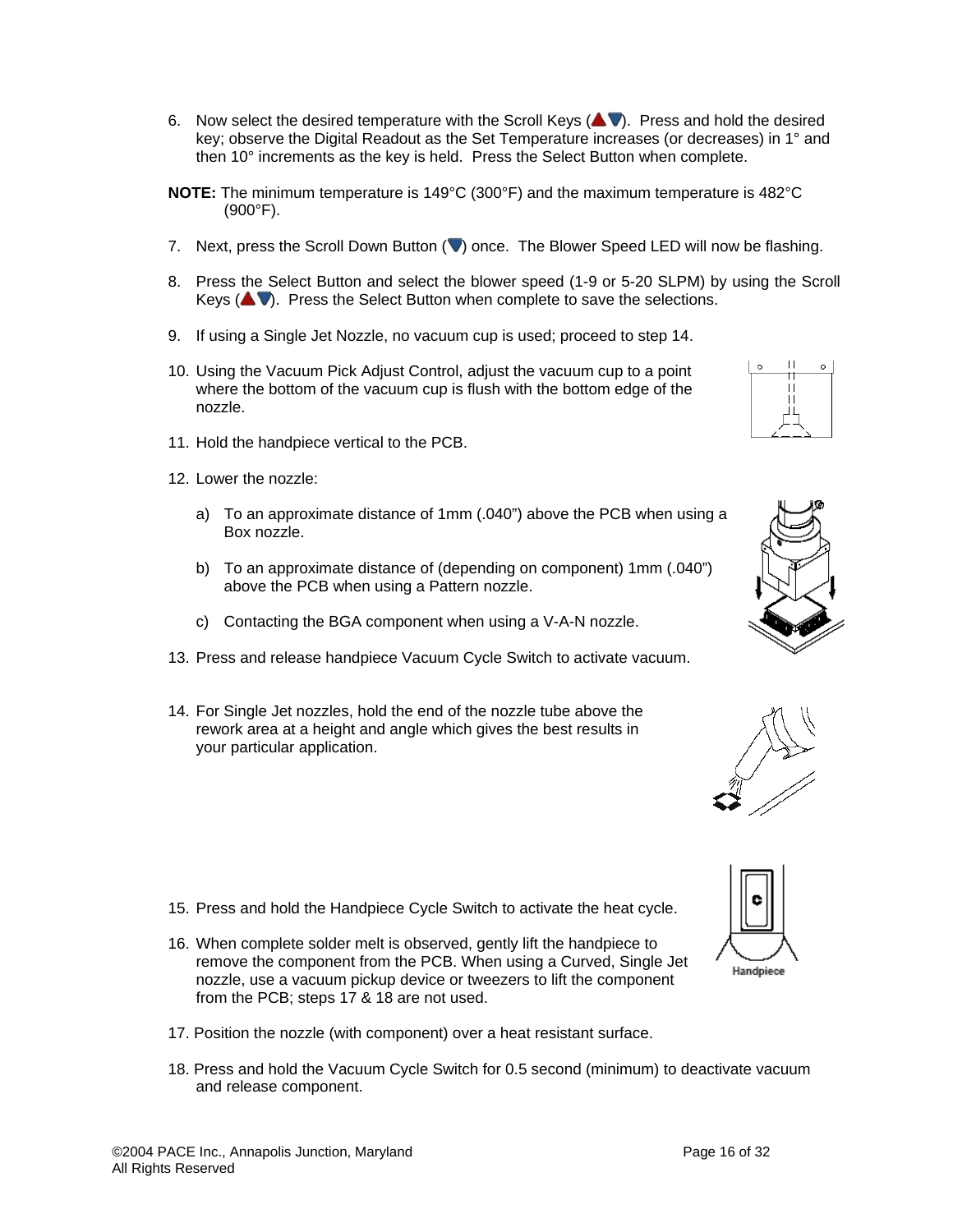- 6. Now select the desired temperature with the Scroll Keys ( $\blacktriangle$ V). Press and hold the desired key; observe the Digital Readout as the Set Temperature increases (or decreases) in 1° and then 10° increments as the key is held. Press the Select Button when complete.
- **NOTE:** The minimum temperature is 149°C (300°F) and the maximum temperature is 482°C (900°F).
- 7. Next, press the Scroll Down Button ( $\blacktriangledown$ ) once. The Blower Speed LED will now be flashing.
- 8. Press the Select Button and select the blower speed (1-9 or 5-20 SLPM) by using the Scroll Keys  $($   $\blacktriangleright$   $\blacktriangleright$ . Press the Select Button when complete to save the selections.
- 9. If using a Single Jet Nozzle, no vacuum cup is used; proceed to step 14.
- 10. Using the Vacuum Pick Adjust Control, adjust the vacuum cup to a point where the bottom of the vacuum cup is flush with the bottom edge of the nozzle.
- 11. Hold the handpiece vertical to the PCB.
- 12. Lower the nozzle:
	- a) To an approximate distance of 1mm (.040") above the PCB when using a Box nozzle.
	- b) To an approximate distance of (depending on component) 1mm (.040") above the PCB when using a Pattern nozzle.
	- c) Contacting the BGA component when using a V-A-N nozzle.
- 13. Press and release handpiece Vacuum Cycle Switch to activate vacuum.
- 14. For Single Jet nozzles, hold the end of the nozzle tube above the rework area at a height and angle which gives the best results in your particular application.

- 15. Press and hold the Handpiece Cycle Switch to activate the heat cycle.
- 16. When complete solder melt is observed, gently lift the handpiece to remove the component from the PCB. When using a Curved, Single Jet nozzle, use a vacuum pickup device or tweezers to lift the component from the PCB; steps 17 & 18 are not used.
- 17. Position the nozzle (with component) over a heat resistant surface.
- 18. Press and hold the Vacuum Cycle Switch for 0.5 second (minimum) to deactivate vacuum and release component.





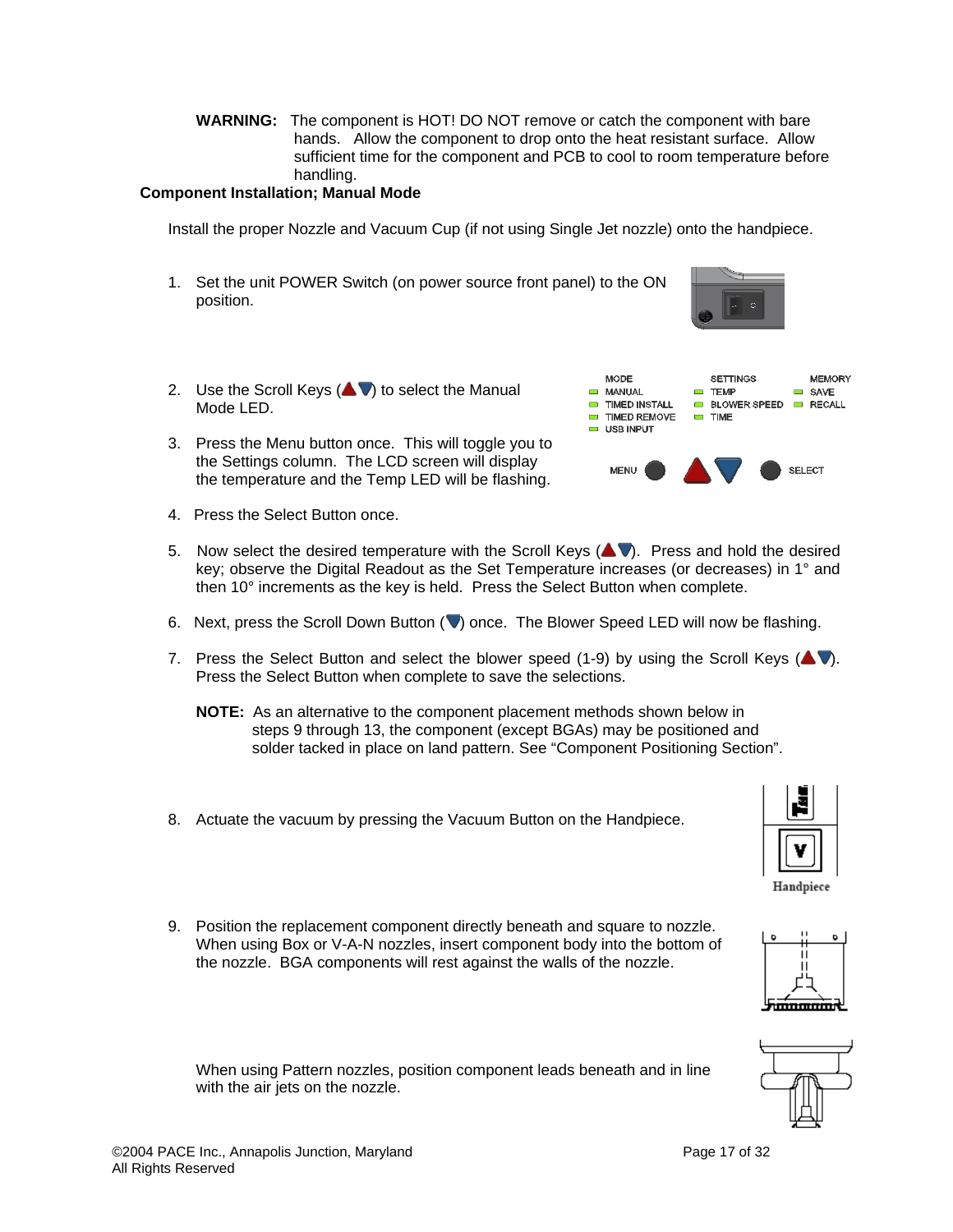**WARNING:** The component is HOT! DO NOT remove or catch the component with bare hands. Allow the component to drop onto the heat resistant surface. Allow sufficient time for the component and PCB to cool to room temperature before handling.

## **Component Installation; Manual Mode**

Install the proper Nozzle and Vacuum Cup (if not using Single Jet nozzle) onto the handpiece.

- 1. Set the unit POWER Switch (on power source front panel) to the ON position.
- 2. Use the Scroll Keys  $($ Mode LED.
- 3. Press the Menu button once. This will toggle you to the Settings column. The LCD screen will display the temperature and the Temp LED will be flashing.
- 4. Press the Select Button once.
- 5. Now select the desired temperature with the Scroll Keys  $($ key; observe the Digital Readout as the Set Temperature increases (or decreases) in 1° and then 10° increments as the key is held. Press the Select Button when complete.
- 6. Next, press the Scroll Down Button ( $\blacktriangledown$ ) once. The Blower Speed LED will now be flashing.
- 7. Press the Select Button and select the blower speed (1-9) by using the Scroll Keys ( $\blacktriangle$ V). Press the Select Button when complete to save the selections.
	- **NOTE:** As an alternative to the component placement methods shown below in steps 9 through 13, the component (except BGAs) may be positioned and solder tacked in place on land pattern. See "Component Positioning Section".
- 8. Actuate the vacuum by pressing the Vacuum Button on the Handpiece.
- 9. Position the replacement component directly beneath and square to nozzle. When using Box or V-A-N nozzles, insert component body into the bottom of the nozzle. BGA components will rest against the walls of the nozzle.

When using Pattern nozzles, position component leads beneath and in line with the air jets on the nozzle.









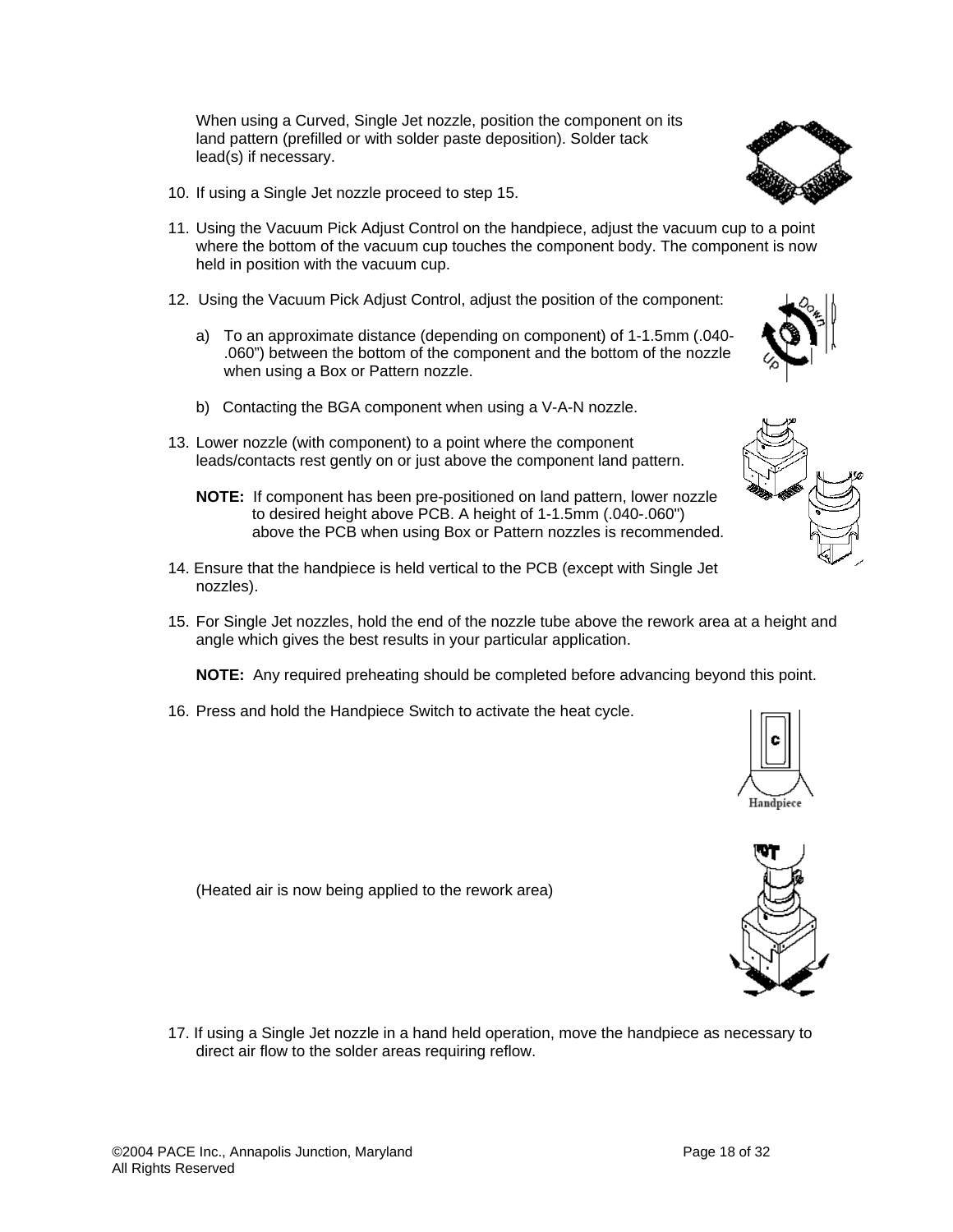a) To an approximate distance (depending on component) of 1-1.5mm (.040- .060") between the bottom of the component and the bottom of the nozzle

10. If using a Single Jet nozzle proceed to step 15.

when using a Box or Pattern nozzle.

held in position with the vacuum cup.

lead(s) if necessary.

- b) Contacting the BGA component when using a V-A-N nozzle.
- 13. Lower nozzle (with component) to a point where the component leads/contacts rest gently on or just above the component land pattern.

When using a Curved, Single Jet nozzle, position the component on its land pattern (prefilled or with solder paste deposition). Solder tack

12. Using the Vacuum Pick Adjust Control, adjust the position of the component:

11. Using the Vacuum Pick Adjust Control on the handpiece, adjust the vacuum cup to a point where the bottom of the vacuum cup touches the component body. The component is now

- **NOTE:** If component has been pre-positioned on land pattern, lower nozzle to desired height above PCB. A height of 1-1.5mm (.040-.060") above the PCB when using Box or Pattern nozzles is recommended.
- 14. Ensure that the handpiece is held vertical to the PCB (except with Single Jet nozzles).
- 15. For Single Jet nozzles, hold the end of the nozzle tube above the rework area at a height and angle which gives the best results in your particular application.

**NOTE:** Any required preheating should be completed before advancing beyond this point.

16. Press and hold the Handpiece Switch to activate the heat cycle.

(Heated air is now being applied to the rework area)

17. If using a Single Jet nozzle in a hand held operation, move the handpiece as necessary to direct air flow to the solder areas requiring reflow.



Handpiece





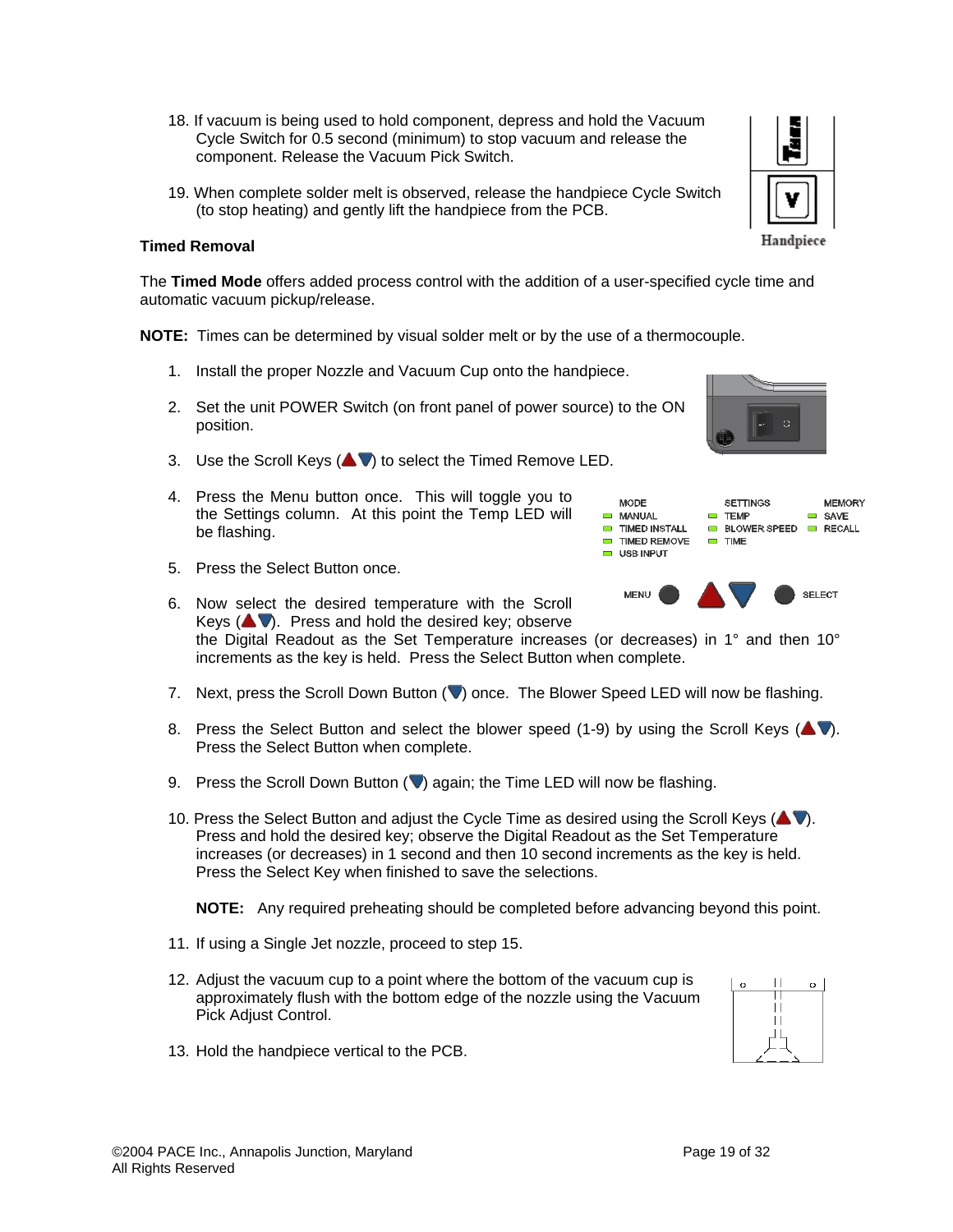©2004 PACE Inc., Annapolis Junction, Maryland Page 19 of 32 All Rights Reserved

- 18. If vacuum is being used to hold component, depress and hold the Vacuum Cycle Switch for 0.5 second (minimum) to stop vacuum and release the component. Release the Vacuum Pick Switch.
- 19. When complete solder melt is observed, release the handpiece Cycle Switch (to stop heating) and gently lift the handpiece from the PCB.

# **Timed Removal**

The **Timed Mode** offers added process control with the addition of a user-specified cycle time and automatic vacuum pickup/release.

**NOTE:** Times can be determined by visual solder melt or by the use of a thermocouple.

- 1. Install the proper Nozzle and Vacuum Cup onto the handpiece.
- 2. Set the unit POWER Switch (on front panel of power source) to the ON position.
- 3. Use the Scroll Keys  $($   $\blacklozenge$   $\blacktriangledown$ ) to select the Timed Remove LED.
- 4. Press the Menu button once. This will toggle you to the Settings column. At this point the Temp LED will be flashing.
- 5. Press the Select Button once.
- 6. Now select the desired temperature with the Scroll Keys  $($   $\blacktriangleright$   $\blacktriangleright$  Press and hold the desired key; observe the Digital Readout as the Set Temperature increases (or decreases) in 1° and then 10° increments as the key is held. Press the Select Button when complete.
- 7. Next, press the Scroll Down Button  $(\blacktriangledown)$  once. The Blower Speed LED will now be flashing.
- 8. Press the Select Button and select the blower speed (1-9) by using the Scroll Keys ( $\blacktriangle$  ). Press the Select Button when complete.
- 9. Press the Scroll Down Button  $(\nabla)$  again; the Time LED will now be flashing.
- 10. Press the Select Button and adjust the Cycle Time as desired using the Scroll Keys  $($ Press and hold the desired key; observe the Digital Readout as the Set Temperature increases (or decreases) in 1 second and then 10 second increments as the key is held. Press the Select Key when finished to save the selections.

**NOTE:** Any required preheating should be completed before advancing beyond this point.

- 11. If using a Single Jet nozzle, proceed to step 15.
- 12. Adjust the vacuum cup to a point where the bottom of the vacuum cup is approximately flush with the bottom edge of the nozzle using the Vacuum Pick Adjust Control.
- 13. Hold the handpiece vertical to the PCB.







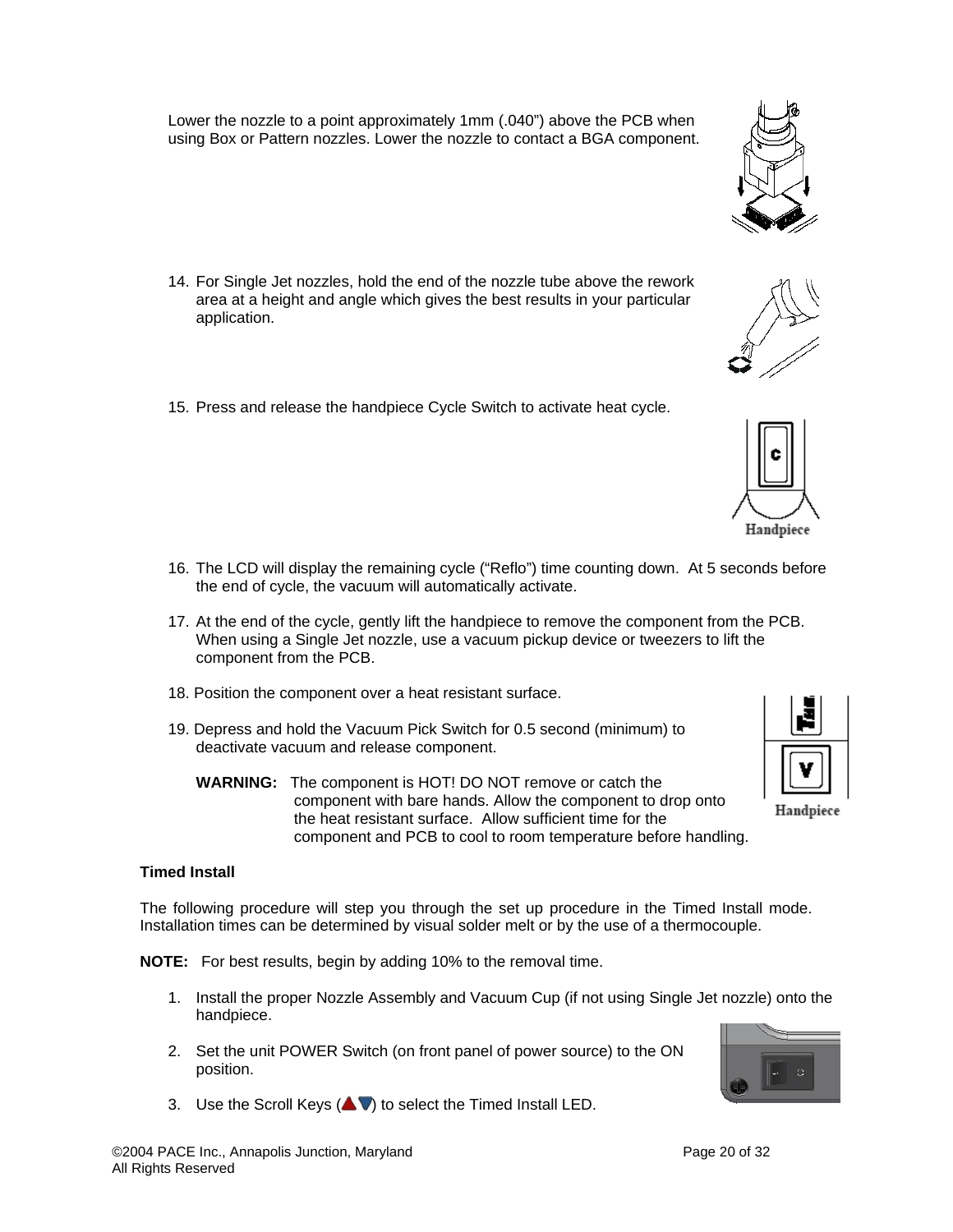Lower the nozzle to a point approximately 1mm (.040") above the PCB when using Box or Pattern nozzles. Lower the nozzle to contact a BGA component.

- 14. For Single Jet nozzles, hold the end of the nozzle tube above the rework area at a height and angle which gives the best results in your particular application.
- 15. Press and release the handpiece Cycle Switch to activate heat cycle.

- 16. The LCD will display the remaining cycle ("Reflo") time counting down. At 5 seconds before the end of cycle, the vacuum will automatically activate.
- 17. At the end of the cycle, gently lift the handpiece to remove the component from the PCB. When using a Single Jet nozzle, use a vacuum pickup device or tweezers to lift the component from the PCB.
- 18. Position the component over a heat resistant surface.
- 19. Depress and hold the Vacuum Pick Switch for 0.5 second (minimum) to deactivate vacuum and release component.
	- **WARNING:** The component is HOT! DO NOT remove or catch the component with bare hands. Allow the component to drop onto the heat resistant surface. Allow sufficient time for the component and PCB to cool to room temperature before handling.

## **Timed Install**

The following procedure will step you through the set up procedure in the Timed Install mode. Installation times can be determined by visual solder melt or by the use of a thermocouple.

**NOTE:** For best results, begin by adding 10% to the removal time.

- 1. Install the proper Nozzle Assembly and Vacuum Cup (if not using Single Jet nozzle) onto the handpiece.
- 2. Set the unit POWER Switch (on front panel of power source) to the ON position.
- 3. Use the Scroll Keys  $($   $\blacktriangleright$   $\blacktriangleright$  to select the Timed Install LED.









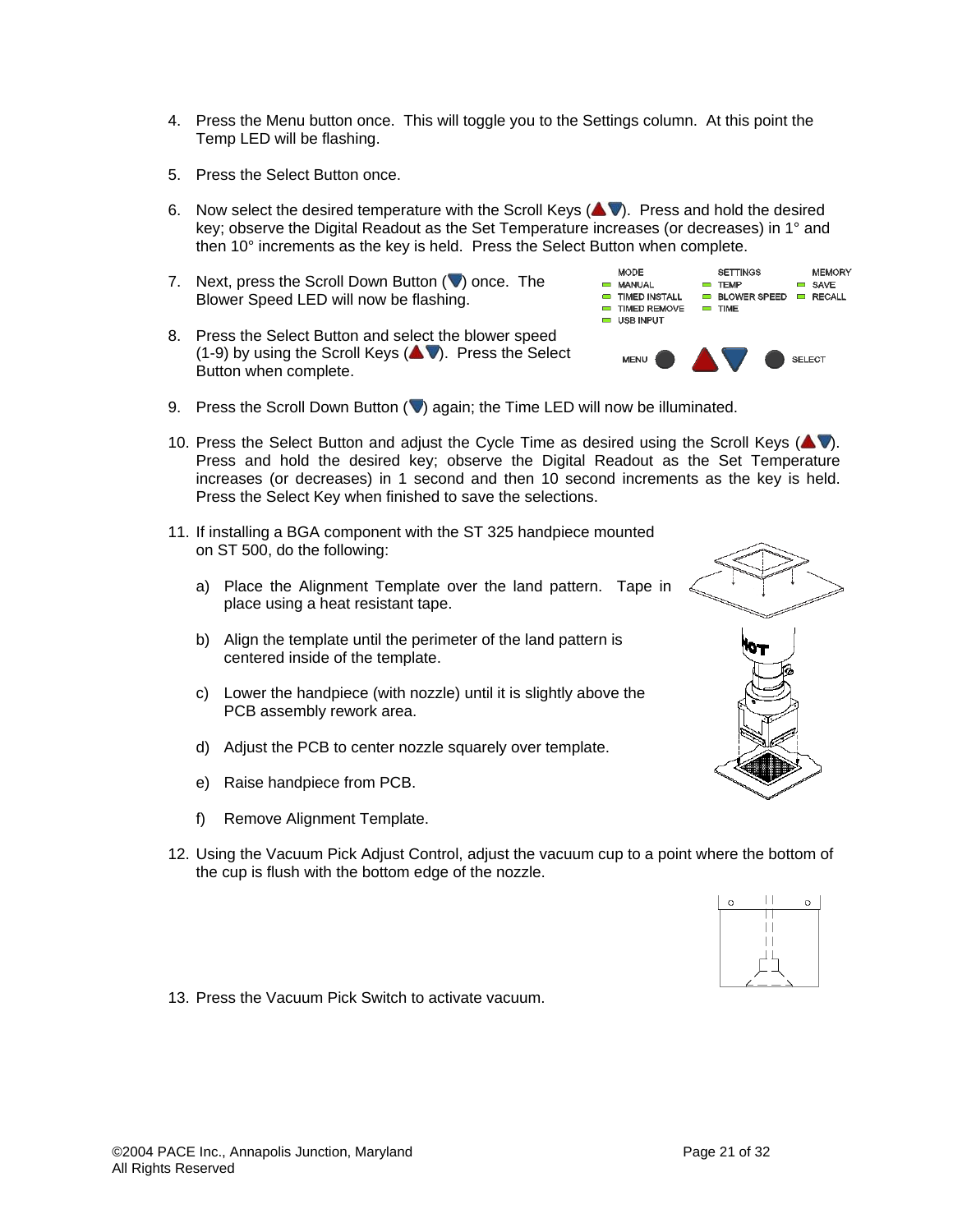- 4. Press the Menu button once. This will toggle you to the Settings column. At this point the Temp LED will be flashing.
- 5. Press the Select Button once.
- 6. Now select the desired temperature with the Scroll Keys  $($ key; observe the Digital Readout as the Set Temperature increases (or decreases) in 1° and then 10° increments as the key is held. Press the Select Button when complete.
- 7. Next, press the Scroll Down Button  $(\vee)$  once. The Blower Speed LED will now be flashing.
- 8. Press the Select Button and select the blower speed  $(1-9)$  by using the Scroll Keys ( $\blacktriangle$ V). Press the Select Button when complete.



- 9. Press the Scroll Down Button  $\sqrt{ }$  again; the Time LED will now be illuminated.
- 10. Press the Select Button and adjust the Cycle Time as desired using the Scroll Keys ( $\blacktriangle$ V). Press and hold the desired key; observe the Digital Readout as the Set Temperature increases (or decreases) in 1 second and then 10 second increments as the key is held. Press the Select Key when finished to save the selections.
- 11. If installing a BGA component with the ST 325 handpiece mounted on ST 500, do the following:
	- a) Place the Alignment Template over the land pattern. Tape in place using a heat resistant tape.
	- b) Align the template until the perimeter of the land pattern is centered inside of the template.
	- c) Lower the handpiece (with nozzle) until it is slightly above the PCB assembly rework area.
	- d) Adjust the PCB to center nozzle squarely over template.
	- e) Raise handpiece from PCB.
	- f) Remove Alignment Template.
- 12. Using the Vacuum Pick Adjust Control, adjust the vacuum cup to a point where the bottom of the cup is flush with the bottom edge of the nozzle.





 $\circ$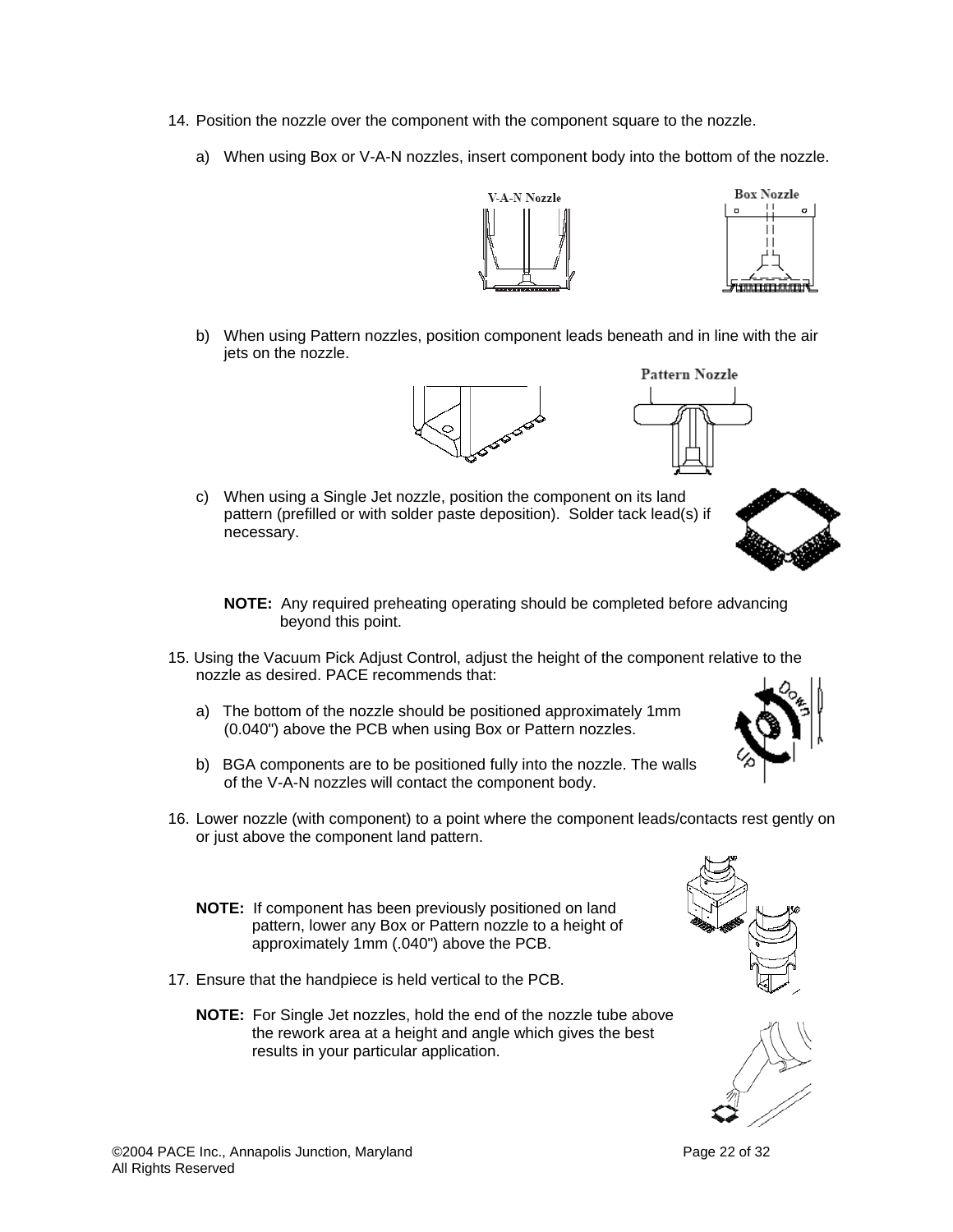- 14. Position the nozzle over the component with the component square to the nozzle.
	- a) When using Box or V-A-N nozzles, insert component body into the bottom of the nozzle.



b) When using Pattern nozzles, position component leads beneath and in line with the air jets on the nozzle.





c) When using a Single Jet nozzle, position the component on its land pattern (prefilled or with solder paste deposition). Solder tack lead(s) if necessary.



- **NOTE:** Any required preheating operating should be completed before advancing beyond this point.
- 15. Using the Vacuum Pick Adjust Control, adjust the height of the component relative to the nozzle as desired. PACE recommends that:
	- a) The bottom of the nozzle should be positioned approximately 1mm (0.040") above the PCB when using Box or Pattern nozzles.
	- b) BGA components are to be positioned fully into the nozzle. The walls of the V-A-N nozzles will contact the component body.
- 16. Lower nozzle (with component) to a point where the component leads/contacts rest gently on or just above the component land pattern.
	- **NOTE:** If component has been previously positioned on land pattern, lower any Box or Pattern nozzle to a height of approximately 1mm (.040") above the PCB.
- 17. Ensure that the handpiece is held vertical to the PCB.
	- **NOTE:** For Single Jet nozzles, hold the end of the nozzle tube above the rework area at a height and angle which gives the best results in your particular application.





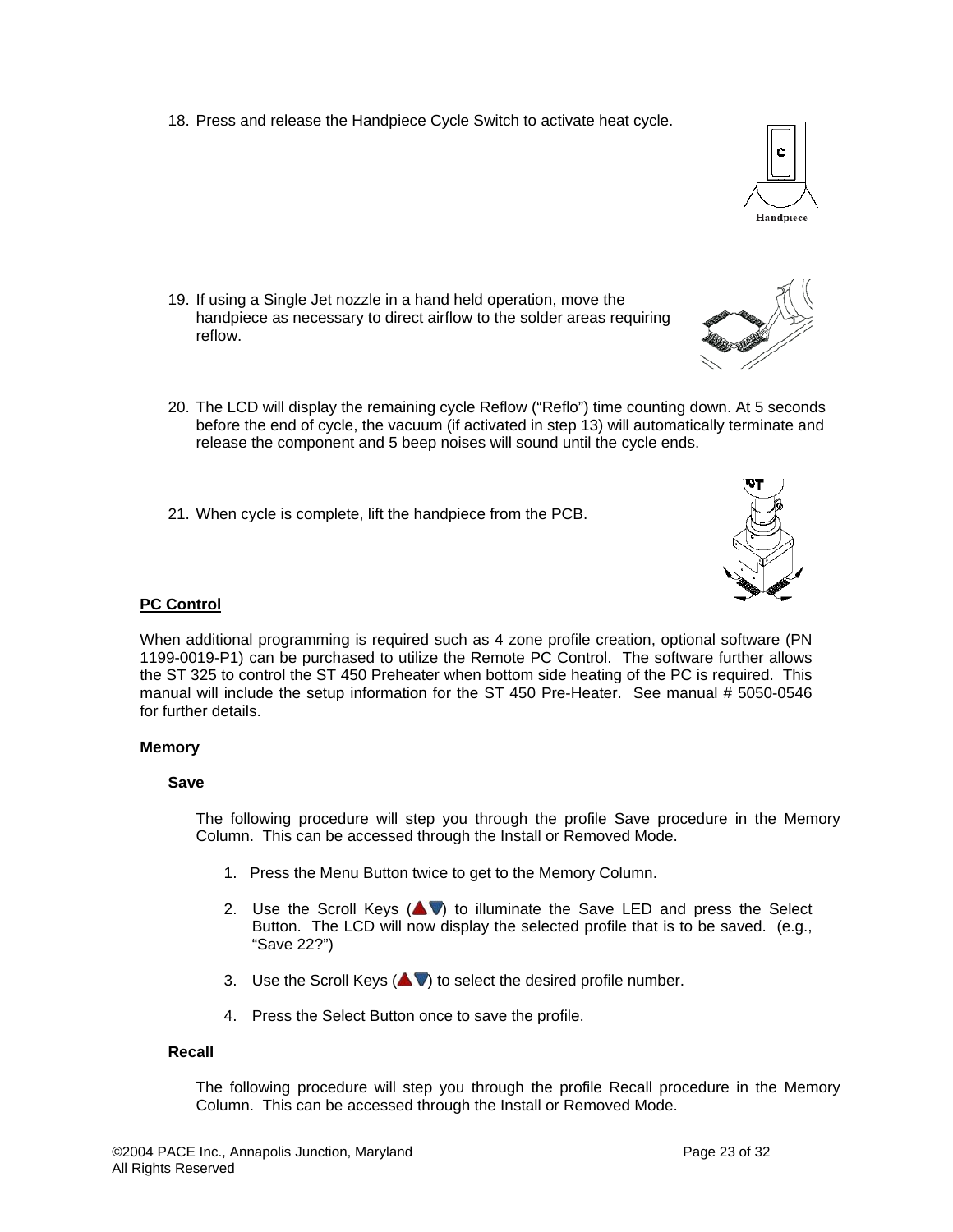18. Press and release the Handpiece Cycle Switch to activate heat cycle.



- 19. If using a Single Jet nozzle in a hand held operation, move the handpiece as necessary to direct airflow to the solder areas requiring reflow.
- 20. The LCD will display the remaining cycle Reflow ("Reflo") time counting down. At 5 seconds before the end of cycle, the vacuum (if activated in step 13) will automatically terminate and release the component and 5 beep noises will sound until the cycle ends.
- 21. When cycle is complete, lift the handpiece from the PCB.



#### **PC Control**

When additional programming is required such as 4 zone profile creation, optional software (PN 1199-0019-P1) can be purchased to utilize the Remote PC Control. The software further allows the ST 325 to control the ST 450 Preheater when bottom side heating of the PC is required. This manual will include the setup information for the ST 450 Pre-Heater. See manual # 5050-0546 for further details.

#### **Memory**

#### **Save**

The following procedure will step you through the profile Save procedure in the Memory Column. This can be accessed through the Install or Removed Mode.

- 1. Press the Menu Button twice to get to the Memory Column.
- 2. Use the Scroll Keys  $($   $\blacktriangleright$   $\blacktriangleright$  to illuminate the Save LED and press the Select Button. The LCD will now display the selected profile that is to be saved. (e.g., "Save 22?")
- 3. Use the Scroll Keys  $($   $\blacktriangleright$   $\blacktriangleright$  to select the desired profile number.
- 4. Press the Select Button once to save the profile.

#### **Recall**

The following procedure will step you through the profile Recall procedure in the Memory Column. This can be accessed through the Install or Removed Mode.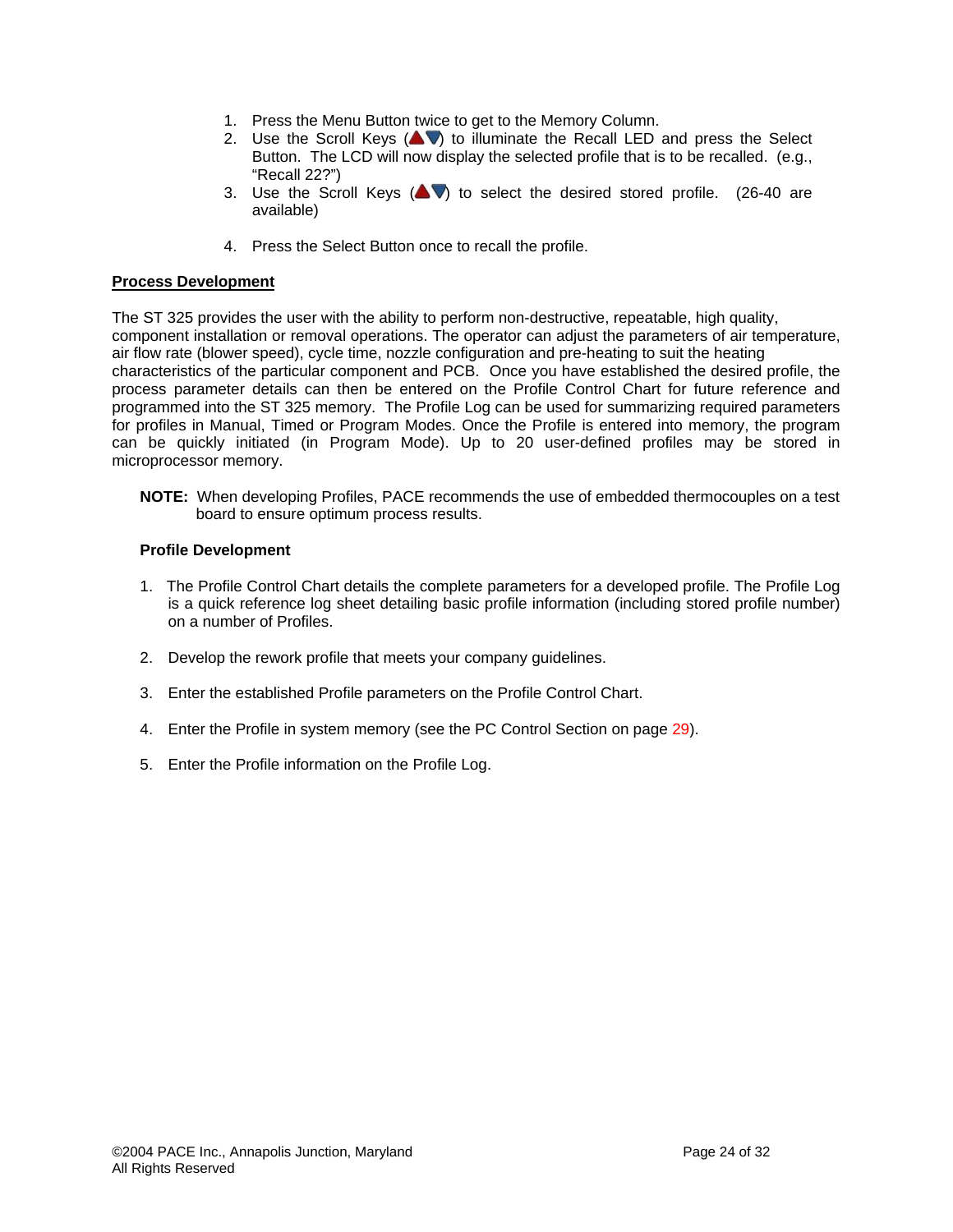- 1. Press the Menu Button twice to get to the Memory Column.
- 2. Use the Scroll Keys  $($   $\blacktriangleright$   $\blacktriangleright$  to illuminate the Recall LED and press the Select Button. The LCD will now display the selected profile that is to be recalled. (e.g., "Recall 22?")
- 3. Use the Scroll Keys  $($   $\blacklozenge$  to select the desired stored profile. (26-40 are available)
- 4. Press the Select Button once to recall the profile.

## **Process Development**

The ST 325 provides the user with the ability to perform non-destructive, repeatable, high quality, component installation or removal operations. The operator can adjust the parameters of air temperature, air flow rate (blower speed), cycle time, nozzle configuration and pre-heating to suit the heating characteristics of the particular component and PCB. Once you have established the desired profile, the process parameter details can then be entered on the Profile Control Chart for future reference and programmed into the ST 325 memory. The Profile Log can be used for summarizing required parameters for profiles in Manual, Timed or Program Modes. Once the Profile is entered into memory, the program can be quickly initiated (in Program Mode). Up to 20 user-defined profiles may be stored in microprocessor memory.

**NOTE:** When developing Profiles, PACE recommends the use of embedded thermocouples on a test board to ensure optimum process results.

## **Profile Development**

- 1. The Profile Control Chart details the complete parameters for a developed profile. The Profile Log is a quick reference log sheet detailing basic profile information (including stored profile number) on a number of Profiles.
- 2. Develop the rework profile that meets your company guidelines.
- 3. Enter the established Profile parameters on the Profile Control Chart.
- 4. Enter the Profile in system memory (see the PC Control Section on page 29).
- 5. Enter the Profile information on the Profile Log.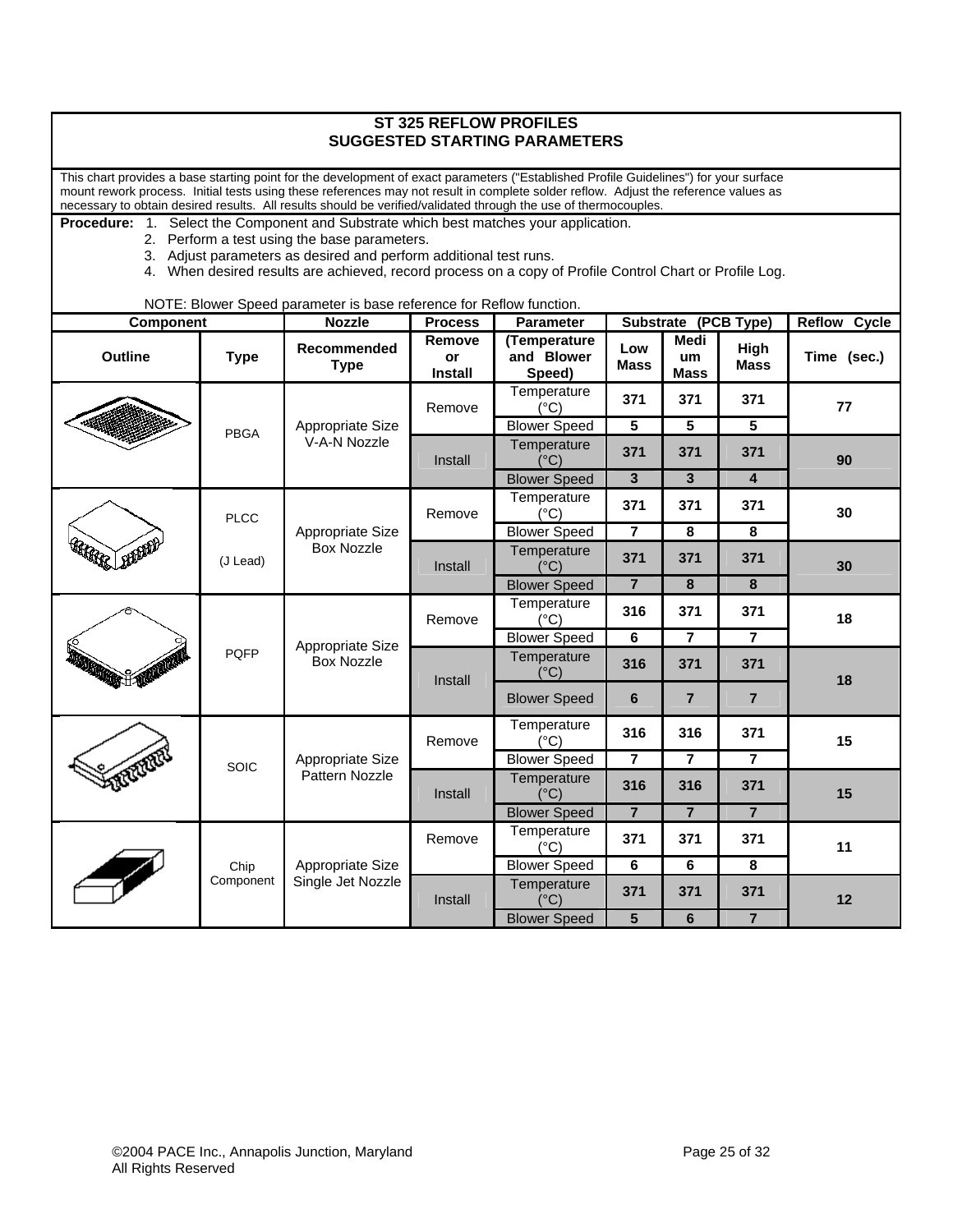| <b>ST 325 REFLOW PROFILES</b><br><b>SUGGESTED STARTING PARAMETERS</b>                                                                                                                                                                                                                                                                                                                           |             |                                                                     |                                |                                      |                    |                                  |                         |                        |                |    |         |                              |     |     |     |    |
|-------------------------------------------------------------------------------------------------------------------------------------------------------------------------------------------------------------------------------------------------------------------------------------------------------------------------------------------------------------------------------------------------|-------------|---------------------------------------------------------------------|--------------------------------|--------------------------------------|--------------------|----------------------------------|-------------------------|------------------------|----------------|----|---------|------------------------------|-----|-----|-----|----|
| This chart provides a base starting point for the development of exact parameters ("Established Profile Guidelines") for your surface<br>mount rework process. Initial tests using these references may not result in complete solder reflow. Adjust the reference values as<br>necessary to obtain desired results. All results should be verified/validated through the use of thermocouples. |             |                                                                     |                                |                                      |                    |                                  |                         |                        |                |    |         |                              |     |     |     |    |
| Select the Component and Substrate which best matches your application.<br><b>Procedure: 1.</b><br>2. Perform a test using the base parameters.<br>3. Adjust parameters as desired and perform additional test runs.<br>4. When desired results are achieved, record process on a copy of Profile Control Chart or Profile Log.                                                                 |             |                                                                     |                                |                                      |                    |                                  |                         |                        |                |    |         |                              |     |     |     |    |
|                                                                                                                                                                                                                                                                                                                                                                                                 |             | NOTE: Blower Speed parameter is base reference for Reflow function. |                                |                                      |                    |                                  |                         |                        |                |    |         |                              |     |     |     |    |
| <b>Component</b>                                                                                                                                                                                                                                                                                                                                                                                |             | <b>Nozzle</b>                                                       | <b>Process</b>                 | <b>Parameter</b>                     |                    | Substrate (PCB Type)             |                         | <b>Reflow</b><br>Cycle |                |    |         |                              |     |     |     |    |
| <b>Outline</b>                                                                                                                                                                                                                                                                                                                                                                                  | <b>Type</b> | Recommended<br><b>Type</b>                                          | Remove<br>or<br><b>Install</b> | (Temperature<br>and Blower<br>Speed) | Low<br><b>Mass</b> | <b>Medi</b><br>um<br><b>Mass</b> | High<br>Mass            | Time (sec.)            |                |    |         |                              |     |     |     |    |
|                                                                                                                                                                                                                                                                                                                                                                                                 |             |                                                                     | Remove                         | Temperature<br>(°C)                  | 371                | 371                              | 371                     | 77                     |                |    |         |                              |     |     |     |    |
|                                                                                                                                                                                                                                                                                                                                                                                                 | <b>PBGA</b> | Appropriate Size                                                    |                                | <b>Blower Speed</b>                  | 5                  | 5                                | 5                       |                        |                |    |         |                              |     |     |     |    |
|                                                                                                                                                                                                                                                                                                                                                                                                 |             | V-A-N Nozzle                                                        | Install                        | Temperature<br>$(^{\circ}C)$         | 371                | 371                              | 371                     | 90                     |                |    |         |                              |     |     |     |    |
|                                                                                                                                                                                                                                                                                                                                                                                                 |             |                                                                     |                                | <b>Blower Speed</b>                  | $\mathbf{3}$       | 3                                | $\overline{\mathbf{4}}$ |                        |                |    |         |                              |     |     |     |    |
|                                                                                                                                                                                                                                                                                                                                                                                                 | <b>PLCC</b> | Appropriate Size<br><b>Box Nozzle</b>                               | Remove                         | Temperature<br>$(^{\circ}C)$         | 371                | 371                              | 371                     | 30                     |                |    |         |                              |     |     |     |    |
|                                                                                                                                                                                                                                                                                                                                                                                                 |             |                                                                     |                                | <b>Blower Speed</b>                  | $\overline{7}$     | 8                                | 8                       |                        |                |    |         |                              |     |     |     |    |
| HAR LEAD                                                                                                                                                                                                                                                                                                                                                                                        | (J Lead)    |                                                                     | Install                        | Temperature<br>$(^{\circ}C)$         | 371                | 371                              | 371                     | 30                     |                |    |         |                              |     |     |     |    |
|                                                                                                                                                                                                                                                                                                                                                                                                 |             |                                                                     |                                | <b>Blower Speed</b>                  | $\overline{7}$     | 8                                | 8                       |                        |                |    |         |                              |     |     |     |    |
|                                                                                                                                                                                                                                                                                                                                                                                                 |             |                                                                     | Remove                         | Temperature<br>$(^{\circ}C)$         | 316                | 371                              | 371                     | 18                     |                |    |         |                              |     |     |     |    |
|                                                                                                                                                                                                                                                                                                                                                                                                 |             | Appropriate Size                                                    |                                | <b>Blower Speed</b>                  | 6                  | $\overline{7}$                   | $\overline{7}$          |                        |                |    |         |                              |     |     |     |    |
| REAL PROPERTY.                                                                                                                                                                                                                                                                                                                                                                                  | <b>PQFP</b> | <b>Box Nozzle</b>                                                   |                                |                                      |                    |                                  |                         |                        |                |    | Install | Temperature<br>$(^{\circ}C)$ | 316 | 371 | 371 | 18 |
|                                                                                                                                                                                                                                                                                                                                                                                                 |             |                                                                     |                                |                                      |                    | <b>Blower Speed</b>              | 6                       | $\overline{7}$         | $\overline{7}$ |    |         |                              |     |     |     |    |
|                                                                                                                                                                                                                                                                                                                                                                                                 |             |                                                                     | Remove                         | Temperature<br>$(^{\circ}C)$         | 316                | 316                              | 371                     | 15                     |                |    |         |                              |     |     |     |    |
|                                                                                                                                                                                                                                                                                                                                                                                                 | <b>SOIC</b> | Appropriate Size                                                    |                                | <b>Blower Speed</b>                  | $\overline{7}$     | $\overline{7}$                   | $\overline{7}$          |                        |                |    |         |                              |     |     |     |    |
|                                                                                                                                                                                                                                                                                                                                                                                                 |             |                                                                     | Pattern Nozzle                 | Install                              |                    | Temperature<br>$(^{\circ}C)$     | 316                     | 316                    | 371            | 15 |         |                              |     |     |     |    |
|                                                                                                                                                                                                                                                                                                                                                                                                 |             |                                                                     |                                | <b>Blower Speed</b>                  | $\overline{7}$     | $\overline{7}$                   | $\overline{7}$          |                        |                |    |         |                              |     |     |     |    |
| $\clubsuit$                                                                                                                                                                                                                                                                                                                                                                                     |             |                                                                     | Remove                         | Temperature<br>$(^{\circ}C)$         | 371                | 371                              | 371                     | 11                     |                |    |         |                              |     |     |     |    |
|                                                                                                                                                                                                                                                                                                                                                                                                 | Chip        | Appropriate Size                                                    |                                | <b>Blower Speed</b>                  | 6                  | 6                                | 8                       |                        |                |    |         |                              |     |     |     |    |
|                                                                                                                                                                                                                                                                                                                                                                                                 | Component   | Single Jet Nozzle                                                   | Install                        | Temperature<br>$(^{\circ}C)$         | 371                | 371                              | 371                     | 12                     |                |    |         |                              |     |     |     |    |
|                                                                                                                                                                                                                                                                                                                                                                                                 |             |                                                                     |                                | <b>Blower Speed</b>                  | $\overline{5}$     | $\overline{6}$                   | $\overline{7}$          |                        |                |    |         |                              |     |     |     |    |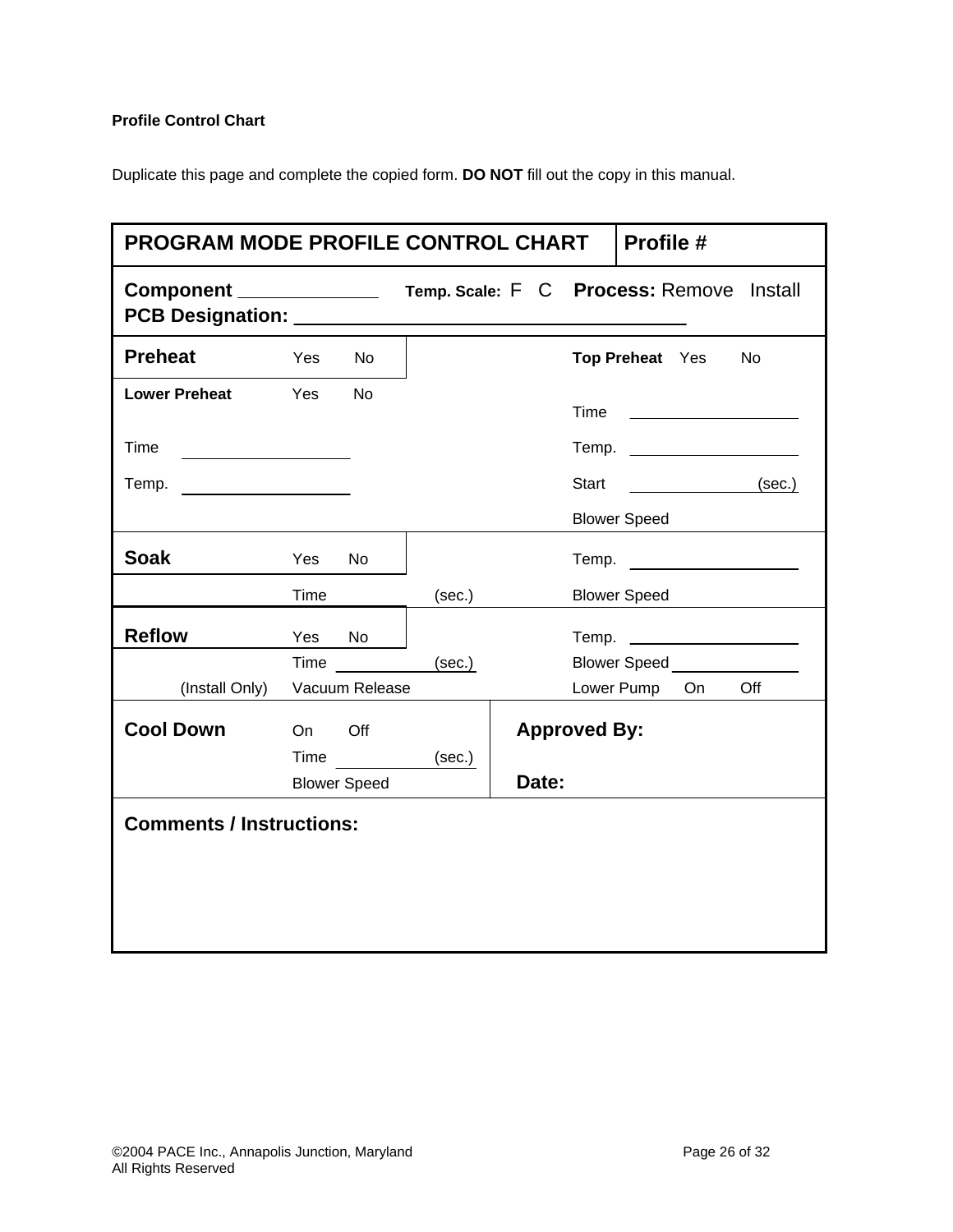# **Profile Control Chart**

Duplicate this page and complete the copied form. **DO NOT** fill out the copy in this manual.

| <b>PROGRAM MODE PROFILE CONTROL CHART</b><br>Profile #               |        |                     |                                          |       |                     |                                  |    |           |
|----------------------------------------------------------------------|--------|---------------------|------------------------------------------|-------|---------------------|----------------------------------|----|-----------|
| Component ____________<br>PCB Designation: National PCB Designation: |        |                     | Temp. Scale: F C Process: Remove Install |       |                     |                                  |    |           |
| <b>Preheat</b>                                                       | Yes    | No                  |                                          |       |                     | Top Preheat Yes                  |    | <b>No</b> |
| Lower Preheat Yes                                                    |        | <b>No</b>           |                                          |       | Time                |                                  |    |           |
| Time                                                                 |        |                     |                                          |       |                     |                                  |    |           |
|                                                                      |        |                     |                                          |       | Start               |                                  |    | (sec.)    |
|                                                                      |        |                     |                                          |       |                     | <b>Blower Speed</b>              |    |           |
| <b>Soak</b>                                                          | Yes    | No                  |                                          |       |                     | Temp.                            |    |           |
|                                                                      | Time   |                     | (sec.)                                   |       |                     | <b>Blower Speed</b>              |    |           |
| <b>Reflow</b>                                                        | Yes No |                     |                                          |       |                     |                                  |    |           |
|                                                                      |        | $Time \t---$        | (sec.)                                   |       |                     | <b>Blower Speed Server Speed</b> |    |           |
| (Install Only)                                                       |        | Vacuum Release      |                                          |       |                     | Lower Pump                       | On | Off       |
| <b>Cool Down</b>                                                     | On     | Off                 |                                          |       | <b>Approved By:</b> |                                  |    |           |
|                                                                      | Time   |                     | (sec.)                                   |       |                     |                                  |    |           |
|                                                                      |        | <b>Blower Speed</b> |                                          | Date: |                     |                                  |    |           |
| <b>Comments / Instructions:</b>                                      |        |                     |                                          |       |                     |                                  |    |           |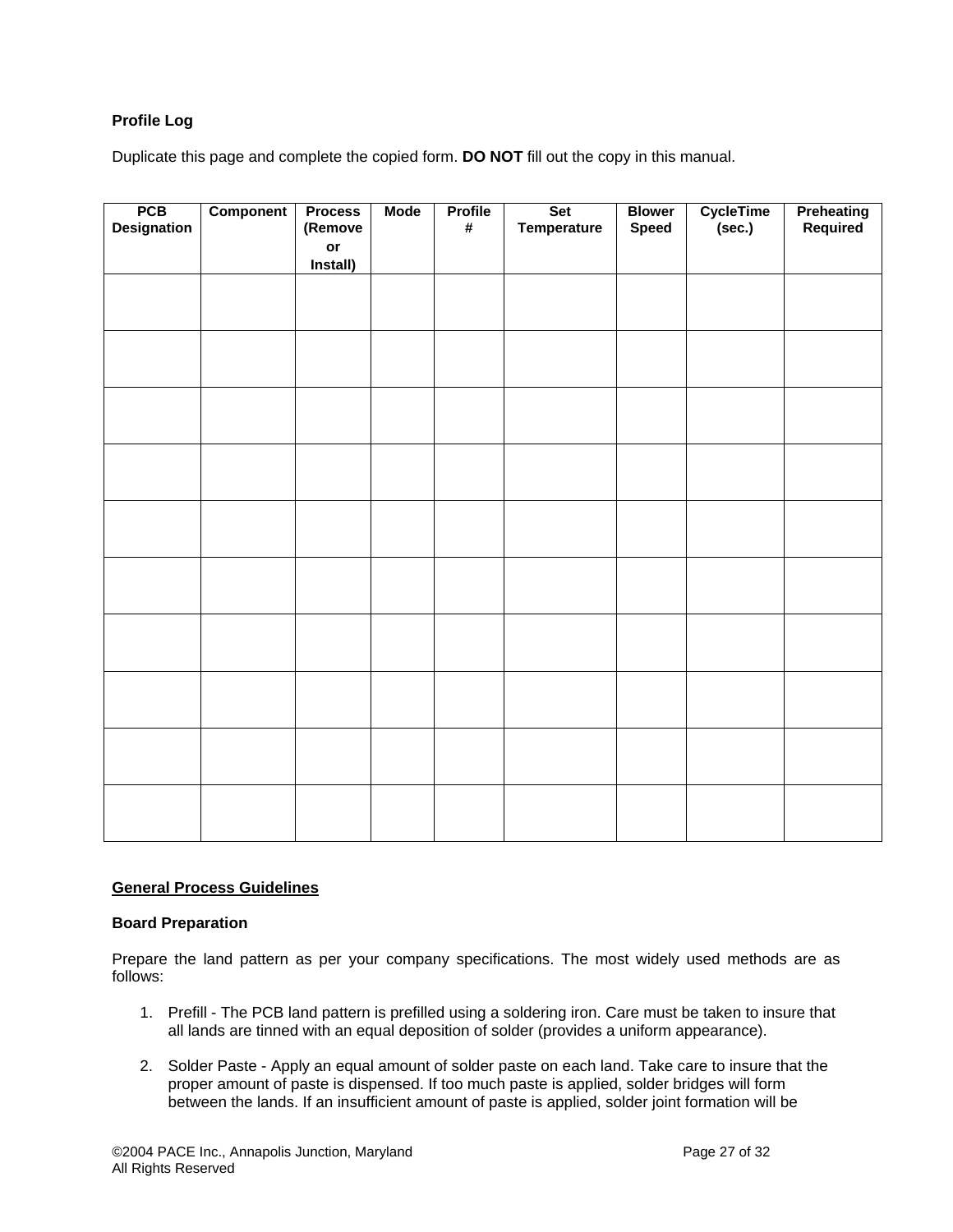# **Profile Log**

Duplicate this page and complete the copied form. **DO NOT** fill out the copy in this manual.

| PCB<br>Designation | <b>Component</b> | <b>Process</b><br>(Remove | <b>Mode</b> | <b>Profile</b><br># | Set<br>Temperature | <b>Blower</b><br><b>Speed</b> | CycleTime<br>(sec.) | <b>Preheating</b><br>Required |
|--------------------|------------------|---------------------------|-------------|---------------------|--------------------|-------------------------------|---------------------|-------------------------------|
|                    |                  | or                        |             |                     |                    |                               |                     |                               |
|                    |                  | Install)                  |             |                     |                    |                               |                     |                               |
|                    |                  |                           |             |                     |                    |                               |                     |                               |
|                    |                  |                           |             |                     |                    |                               |                     |                               |
|                    |                  |                           |             |                     |                    |                               |                     |                               |
|                    |                  |                           |             |                     |                    |                               |                     |                               |
|                    |                  |                           |             |                     |                    |                               |                     |                               |
|                    |                  |                           |             |                     |                    |                               |                     |                               |
|                    |                  |                           |             |                     |                    |                               |                     |                               |
|                    |                  |                           |             |                     |                    |                               |                     |                               |
|                    |                  |                           |             |                     |                    |                               |                     |                               |
|                    |                  |                           |             |                     |                    |                               |                     |                               |
|                    |                  |                           |             |                     |                    |                               |                     |                               |
|                    |                  |                           |             |                     |                    |                               |                     |                               |
|                    |                  |                           |             |                     |                    |                               |                     |                               |
|                    |                  |                           |             |                     |                    |                               |                     |                               |
|                    |                  |                           |             |                     |                    |                               |                     |                               |
|                    |                  |                           |             |                     |                    |                               |                     |                               |
|                    |                  |                           |             |                     |                    |                               |                     |                               |
|                    |                  |                           |             |                     |                    |                               |                     |                               |
|                    |                  |                           |             |                     |                    |                               |                     |                               |
|                    |                  |                           |             |                     |                    |                               |                     |                               |
|                    |                  |                           |             |                     |                    |                               |                     |                               |

#### **General Process Guidelines**

## **Board Preparation**

Prepare the land pattern as per your company specifications. The most widely used methods are as follows:

- 1. Prefill The PCB land pattern is prefilled using a soldering iron. Care must be taken to insure that all lands are tinned with an equal deposition of solder (provides a uniform appearance).
- 2. Solder Paste Apply an equal amount of solder paste on each land. Take care to insure that the proper amount of paste is dispensed. If too much paste is applied, solder bridges will form between the lands. If an insufficient amount of paste is applied, solder joint formation will be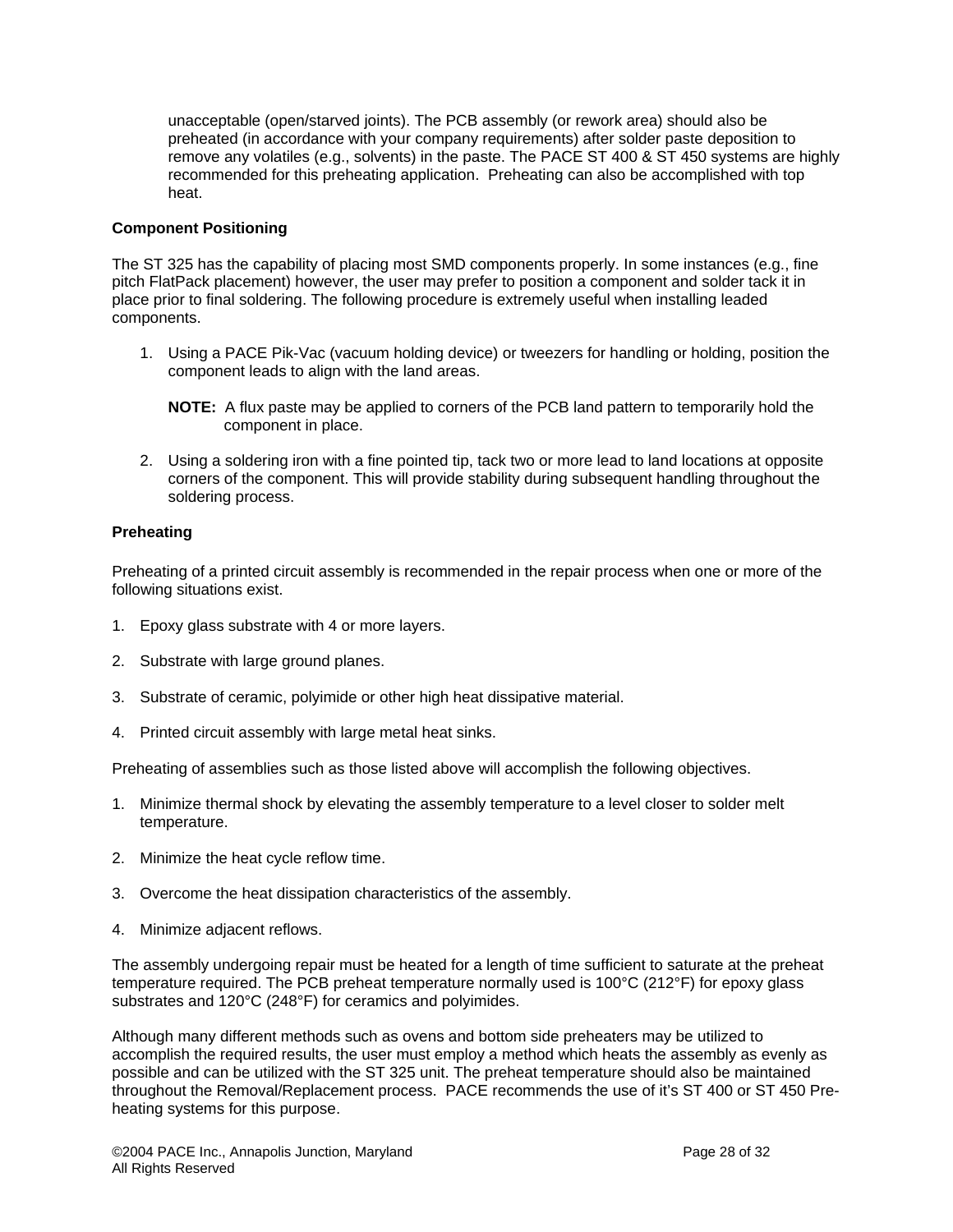unacceptable (open/starved joints). The PCB assembly (or rework area) should also be preheated (in accordance with your company requirements) after solder paste deposition to remove any volatiles (e.g., solvents) in the paste. The PACE ST 400 & ST 450 systems are highly recommended for this preheating application. Preheating can also be accomplished with top heat.

## **Component Positioning**

The ST 325 has the capability of placing most SMD components properly. In some instances (e.g., fine pitch FlatPack placement) however, the user may prefer to position a component and solder tack it in place prior to final soldering. The following procedure is extremely useful when installing leaded components.

- 1. Using a PACE Pik-Vac (vacuum holding device) or tweezers for handling or holding, position the component leads to align with the land areas.
	- **NOTE:** A flux paste may be applied to corners of the PCB land pattern to temporarily hold the component in place.
- 2. Using a soldering iron with a fine pointed tip, tack two or more lead to land locations at opposite corners of the component. This will provide stability during subsequent handling throughout the soldering process.

#### **Preheating**

Preheating of a printed circuit assembly is recommended in the repair process when one or more of the following situations exist.

- 1. Epoxy glass substrate with 4 or more layers.
- 2. Substrate with large ground planes.
- 3. Substrate of ceramic, polyimide or other high heat dissipative material.
- 4. Printed circuit assembly with large metal heat sinks.

Preheating of assemblies such as those listed above will accomplish the following objectives.

- 1. Minimize thermal shock by elevating the assembly temperature to a level closer to solder melt temperature.
- 2. Minimize the heat cycle reflow time.
- 3. Overcome the heat dissipation characteristics of the assembly.
- 4. Minimize adjacent reflows.

The assembly undergoing repair must be heated for a length of time sufficient to saturate at the preheat temperature required. The PCB preheat temperature normally used is 100°C (212°F) for epoxy glass substrates and 120°C (248°F) for ceramics and polyimides.

Although many different methods such as ovens and bottom side preheaters may be utilized to accomplish the required results, the user must employ a method which heats the assembly as evenly as possible and can be utilized with the ST 325 unit. The preheat temperature should also be maintained throughout the Removal/Replacement process. PACE recommends the use of it's ST 400 or ST 450 Preheating systems for this purpose.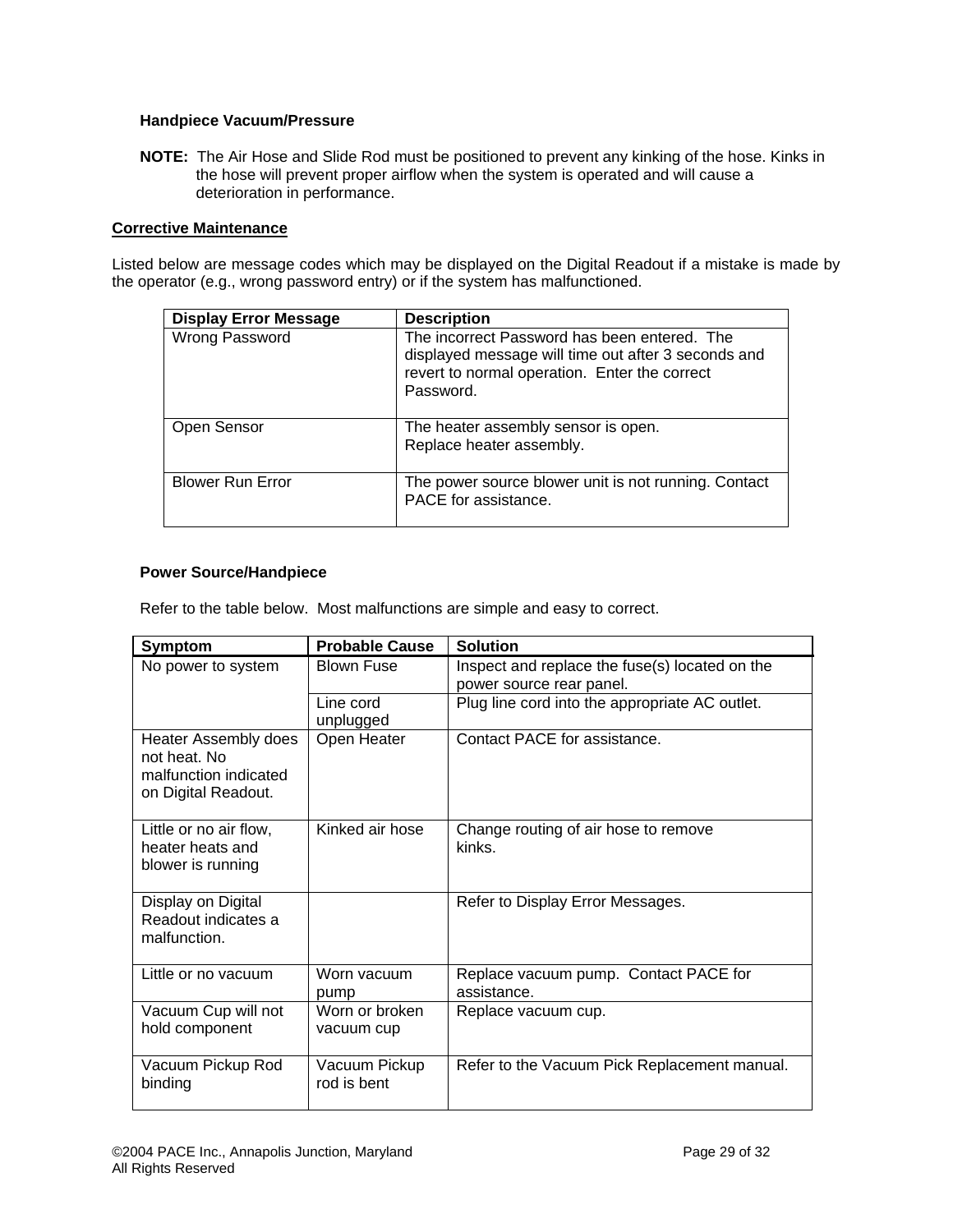## **Handpiece Vacuum/Pressure**

**NOTE:** The Air Hose and Slide Rod must be positioned to prevent any kinking of the hose. Kinks in the hose will prevent proper airflow when the system is operated and will cause a deterioration in performance.

## **Corrective Maintenance**

Listed below are message codes which may be displayed on the Digital Readout if a mistake is made by the operator (e.g., wrong password entry) or if the system has malfunctioned.

| <b>Display Error Message</b> | <b>Description</b>                                                                                                                                                |
|------------------------------|-------------------------------------------------------------------------------------------------------------------------------------------------------------------|
| Wrong Password               | The incorrect Password has been entered. The<br>displayed message will time out after 3 seconds and<br>revert to normal operation. Enter the correct<br>Password. |
| Open Sensor                  | The heater assembly sensor is open.<br>Replace heater assembly.                                                                                                   |
| <b>Blower Run Error</b>      | The power source blower unit is not running. Contact<br>PACE for assistance.                                                                                      |

## **Power Source/Handpiece**

Refer to the table below. Most malfunctions are simple and easy to correct.

| <b>Symptom</b>                                                                              | <b>Probable Cause</b>        | <b>Solution</b>                                                            |
|---------------------------------------------------------------------------------------------|------------------------------|----------------------------------------------------------------------------|
| No power to system                                                                          | <b>Blown Fuse</b>            | Inspect and replace the fuse(s) located on the<br>power source rear panel. |
|                                                                                             | Line cord<br>unplugged       | Plug line cord into the appropriate AC outlet.                             |
| <b>Heater Assembly does</b><br>not heat. No<br>malfunction indicated<br>on Digital Readout. | Open Heater                  | Contact PACE for assistance.                                               |
| Little or no air flow,<br>heater heats and<br>blower is running                             | Kinked air hose              | Change routing of air hose to remove<br>kinks.                             |
| Display on Digital<br>Readout indicates a<br>malfunction.                                   |                              | Refer to Display Error Messages.                                           |
| Little or no vacuum                                                                         | Worn vacuum<br>pump          | Replace vacuum pump. Contact PACE for<br>assistance.                       |
| Vacuum Cup will not<br>hold component                                                       | Worn or broken<br>vacuum cup | Replace vacuum cup.                                                        |
| Vacuum Pickup Rod<br>binding                                                                | Vacuum Pickup<br>rod is bent | Refer to the Vacuum Pick Replacement manual.                               |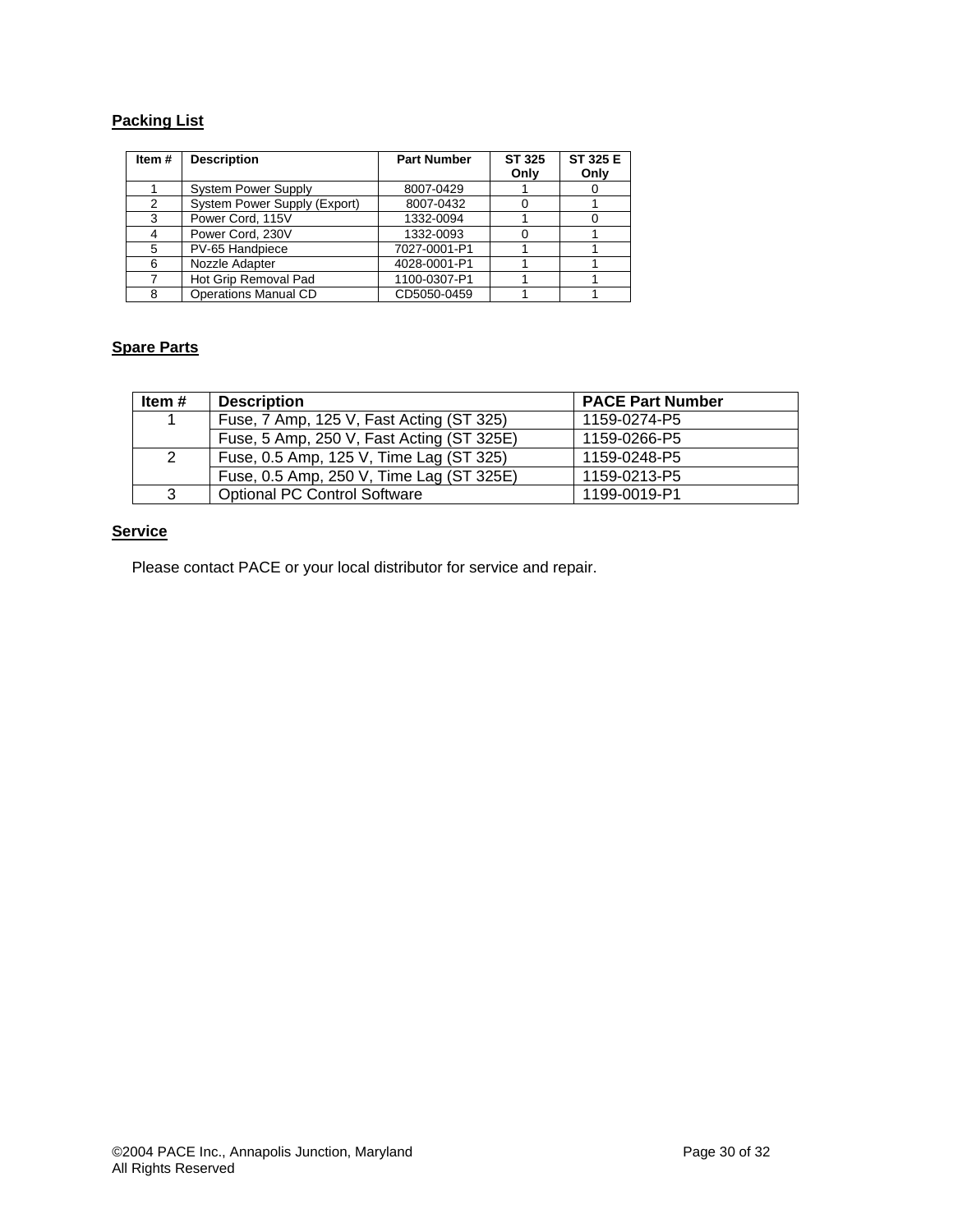# **Packing List**

| Item# | <b>Description</b>           | <b>Part Number</b> | ST 325<br>Only | ST 325 E<br>Only |
|-------|------------------------------|--------------------|----------------|------------------|
|       | <b>System Power Supply</b>   | 8007-0429          |                |                  |
| 2     | System Power Supply (Export) | 8007-0432          |                |                  |
| 3     | Power Cord, 115V             | 1332-0094          |                |                  |
|       | Power Cord, 230V             | 1332-0093          |                |                  |
| 5     | PV-65 Handpiece              | 7027-0001-P1       |                |                  |
| 6     | Nozzle Adapter               | 4028-0001-P1       |                |                  |
|       | Hot Grip Removal Pad         | 1100-0307-P1       |                |                  |
| 8     | <b>Operations Manual CD</b>  | CD5050-0459        |                |                  |

# **Spare Parts**

| Item # | <b>Description</b>                        | <b>PACE Part Number</b> |
|--------|-------------------------------------------|-------------------------|
| -1     | Fuse, 7 Amp, 125 V, Fast Acting (ST 325)  | 1159-0274-P5            |
|        | Fuse, 5 Amp, 250 V, Fast Acting (ST 325E) | 1159-0266-P5            |
| 2      | Fuse, 0.5 Amp, 125 V, Time Lag (ST 325)   | 1159-0248-P5            |
|        | Fuse, 0.5 Amp, 250 V, Time Lag (ST 325E)  | 1159-0213-P5            |
| 3      | <b>Optional PC Control Software</b>       | 1199-0019-P1            |

# **Service**

Please contact PACE or your local distributor for service and repair.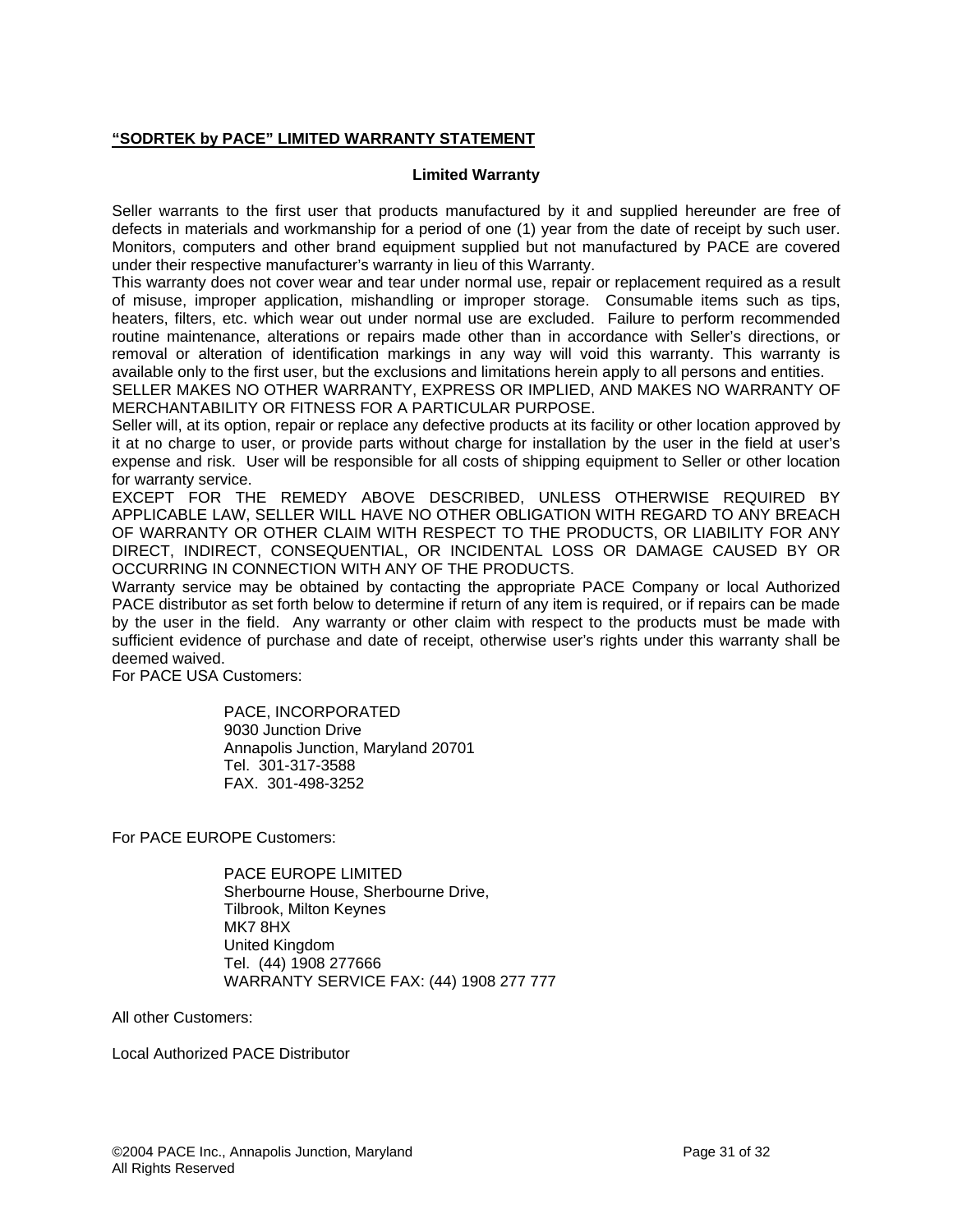## **"SODRTEK by PACE" LIMITED WARRANTY STATEMENT**

#### **Limited Warranty**

Seller warrants to the first user that products manufactured by it and supplied hereunder are free of defects in materials and workmanship for a period of one (1) year from the date of receipt by such user. Monitors, computers and other brand equipment supplied but not manufactured by PACE are covered under their respective manufacturer's warranty in lieu of this Warranty.

This warranty does not cover wear and tear under normal use, repair or replacement required as a result of misuse, improper application, mishandling or improper storage. Consumable items such as tips, heaters, filters, etc. which wear out under normal use are excluded. Failure to perform recommended routine maintenance, alterations or repairs made other than in accordance with Seller's directions, or removal or alteration of identification markings in any way will void this warranty. This warranty is available only to the first user, but the exclusions and limitations herein apply to all persons and entities.

SELLER MAKES NO OTHER WARRANTY, EXPRESS OR IMPLIED, AND MAKES NO WARRANTY OF MERCHANTABILITY OR FITNESS FOR A PARTICULAR PURPOSE.

Seller will, at its option, repair or replace any defective products at its facility or other location approved by it at no charge to user, or provide parts without charge for installation by the user in the field at user's expense and risk. User will be responsible for all costs of shipping equipment to Seller or other location for warranty service.

EXCEPT FOR THE REMEDY ABOVE DESCRIBED, UNLESS OTHERWISE REQUIRED BY APPLICABLE LAW, SELLER WILL HAVE NO OTHER OBLIGATION WITH REGARD TO ANY BREACH OF WARRANTY OR OTHER CLAIM WITH RESPECT TO THE PRODUCTS, OR LIABILITY FOR ANY DIRECT, INDIRECT, CONSEQUENTIAL, OR INCIDENTAL LOSS OR DAMAGE CAUSED BY OR OCCURRING IN CONNECTION WITH ANY OF THE PRODUCTS.

Warranty service may be obtained by contacting the appropriate PACE Company or local Authorized PACE distributor as set forth below to determine if return of any item is required, or if repairs can be made by the user in the field. Any warranty or other claim with respect to the products must be made with sufficient evidence of purchase and date of receipt, otherwise user's rights under this warranty shall be deemed waived.

For PACE USA Customers:

PACE, INCORPORATED 9030 Junction Drive Annapolis Junction, Maryland 20701 Tel. 301-317-3588 FAX. 301-498-3252

For PACE EUROPE Customers:

PACE EUROPE LIMITED Sherbourne House, Sherbourne Drive, Tilbrook, Milton Keynes MK7 8HX United Kingdom Tel. (44) 1908 277666 WARRANTY SERVICE FAX: (44) 1908 277 777

All other Customers:

Local Authorized PACE Distributor